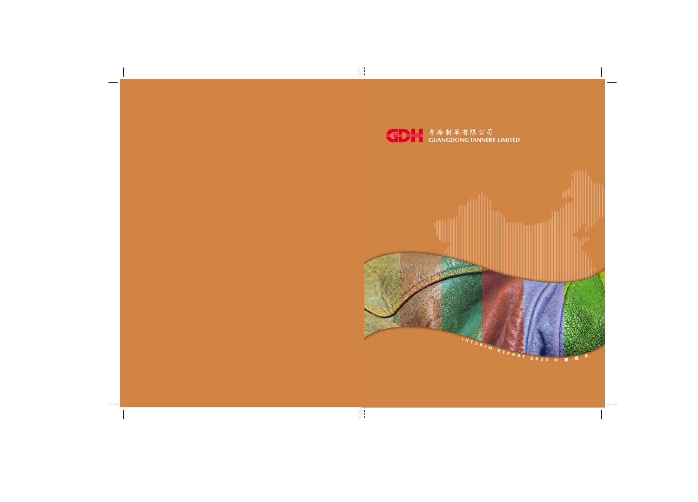

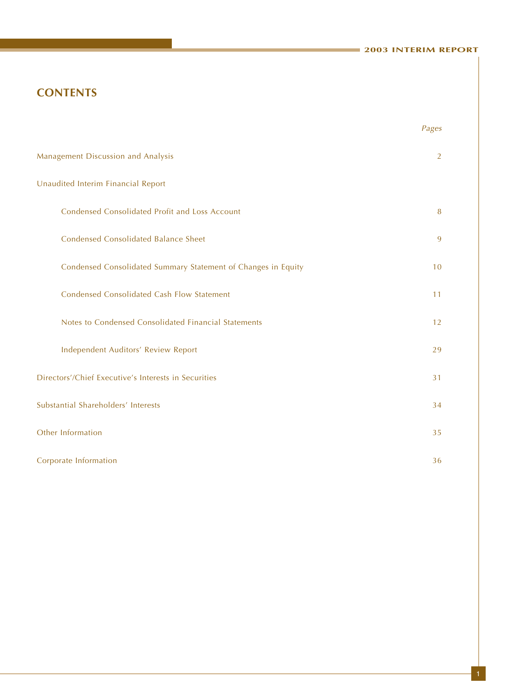#### **2003 INTERIM REPORT**

# **CONTENTS**

|                                                               | Pages |
|---------------------------------------------------------------|-------|
| Management Discussion and Analysis                            | 2     |
| Unaudited Interim Financial Report                            |       |
| Condensed Consolidated Profit and Loss Account                | 8     |
| <b>Condensed Consolidated Balance Sheet</b>                   | 9     |
| Condensed Consolidated Summary Statement of Changes in Equity | 10    |
| <b>Condensed Consolidated Cash Flow Statement</b>             | 11    |
| Notes to Condensed Consolidated Financial Statements          | 12    |
| Independent Auditors' Review Report                           | 29    |
| Directors'/Chief Executive's Interests in Securities          | 31    |
| Substantial Shareholders' Interests                           | 34    |
| Other Information                                             | 35    |
| Corporate Information                                         | 36    |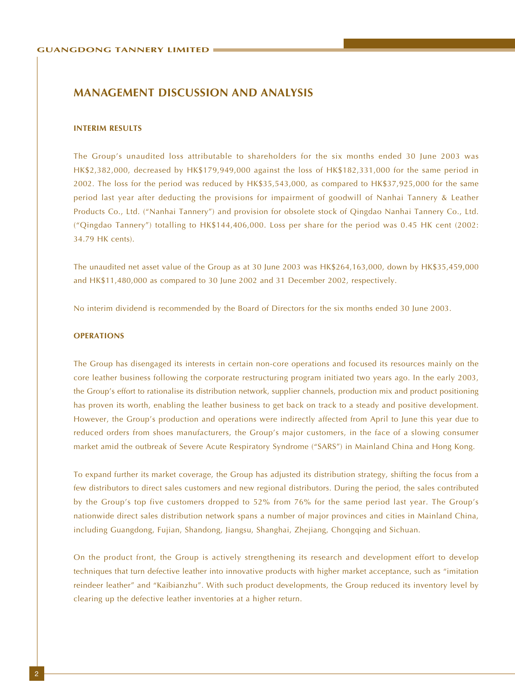#### **INTERIM RESULTS**

The Group's unaudited loss attributable to shareholders for the six months ended 30 June 2003 was HK\$2,382,000, decreased by HK\$179,949,000 against the loss of HK\$182,331,000 for the same period in 2002. The loss for the period was reduced by HK\$35,543,000, as compared to HK\$37,925,000 for the same period last year after deducting the provisions for impairment of goodwill of Nanhai Tannery & Leather Products Co., Ltd. ("Nanhai Tannery") and provision for obsolete stock of Qingdao Nanhai Tannery Co., Ltd. ("Qingdao Tannery") totalling to HK\$144,406,000. Loss per share for the period was 0.45 HK cent (2002: 34.79 HK cents).

The unaudited net asset value of the Group as at 30 June 2003 was HK\$264,163,000, down by HK\$35,459,000 and HK\$11,480,000 as compared to 30 June 2002 and 31 December 2002, respectively.

No interim dividend is recommended by the Board of Directors for the six months ended 30 June 2003.

#### **OPERATIONS**

The Group has disengaged its interests in certain non-core operations and focused its resources mainly on the core leather business following the corporate restructuring program initiated two years ago. In the early 2003, the Group's effort to rationalise its distribution network, supplier channels, production mix and product positioning has proven its worth, enabling the leather business to get back on track to a steady and positive development. However, the Group's production and operations were indirectly affected from April to June this year due to reduced orders from shoes manufacturers, the Group's major customers, in the face of a slowing consumer market amid the outbreak of Severe Acute Respiratory Syndrome ("SARS") in Mainland China and Hong Kong.

To expand further its market coverage, the Group has adjusted its distribution strategy, shifting the focus from a few distributors to direct sales customers and new regional distributors. During the period, the sales contributed by the Group's top five customers dropped to 52% from 76% for the same period last year. The Group's nationwide direct sales distribution network spans a number of major provinces and cities in Mainland China, including Guangdong, Fujian, Shandong, Jiangsu, Shanghai, Zhejiang, Chongqing and Sichuan.

On the product front, the Group is actively strengthening its research and development effort to develop techniques that turn defective leather into innovative products with higher market acceptance, such as "imitation reindeer leather" and "Kaibianzhu". With such product developments, the Group reduced its inventory level by clearing up the defective leather inventories at a higher return.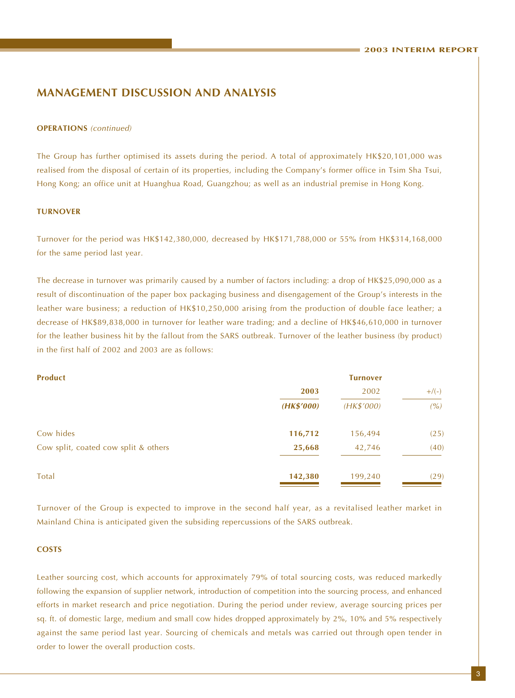#### **OPERATIONS** (continued)

The Group has further optimised its assets during the period. A total of approximately HK\$20,101,000 was realised from the disposal of certain of its properties, including the Company's former office in Tsim Sha Tsui, Hong Kong; an office unit at Huanghua Road, Guangzhou; as well as an industrial premise in Hong Kong.

#### **TURNOVER**

Turnover for the period was HK\$142,380,000, decreased by HK\$171,788,000 or 55% from HK\$314,168,000 for the same period last year.

The decrease in turnover was primarily caused by a number of factors including: a drop of HK\$25,090,000 as a result of discontinuation of the paper box packaging business and disengagement of the Group's interests in the leather ware business; a reduction of HK\$10,250,000 arising from the production of double face leather; a decrease of HK\$89,838,000 in turnover for leather ware trading; and a decline of HK\$46,610,000 in turnover for the leather business hit by the fallout from the SARS outbreak. Turnover of the leather business (by product) in the first half of 2002 and 2003 are as follows:

| <b>Product</b>                       | <b>Turnover</b> |            |         |  |  |
|--------------------------------------|-----------------|------------|---------|--|--|
|                                      | 2003            | 2002       | $+/(-)$ |  |  |
|                                      | (HK\$'000)      | (HK\$'000) | (%)     |  |  |
| Cow hides                            | 116,712         | 156,494    | (25)    |  |  |
| Cow split, coated cow split & others | 25,668          | 42,746     | (40)    |  |  |
| Total                                | 142,380         | 199,240    | (29)    |  |  |

Turnover of the Group is expected to improve in the second half year, as a revitalised leather market in Mainland China is anticipated given the subsiding repercussions of the SARS outbreak.

#### **COSTS**

Leather sourcing cost, which accounts for approximately 79% of total sourcing costs, was reduced markedly following the expansion of supplier network, introduction of competition into the sourcing process, and enhanced efforts in market research and price negotiation. During the period under review, average sourcing prices per sq. ft. of domestic large, medium and small cow hides dropped approximately by 2%, 10% and 5% respectively against the same period last year. Sourcing of chemicals and metals was carried out through open tender in order to lower the overall production costs.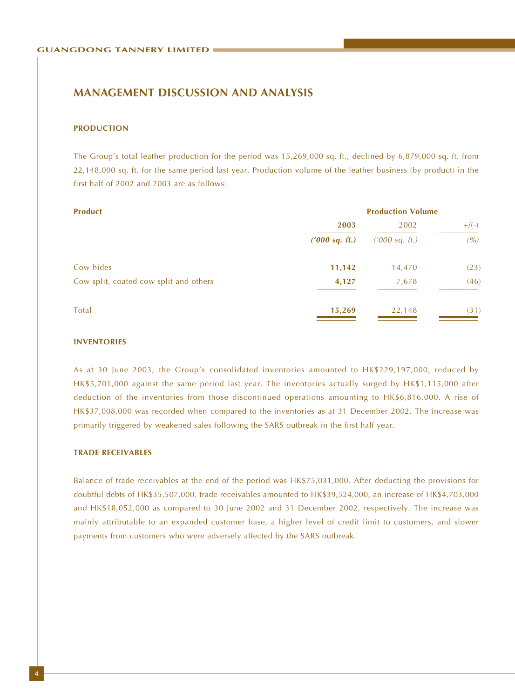#### **PRODUCTION**

The Group's total leather production for the period was 15,269,000 sq. ft., declined by 6,879,000 sq. ft. from 22,148,000 sq. ft. for the same period last year. Production volume of the leather business (by product) in the first half of 2002 and 2003 are as follows:

| <b>Product</b>                         |                | <b>Production Volume</b> |         |  |
|----------------------------------------|----------------|--------------------------|---------|--|
|                                        | 2003           | 2002                     | $+/(-)$ |  |
|                                        | (7000 sq. ft.) | ('000 sq. ft.)           | (%)     |  |
| Cow hides                              | 11,142         | 14,470                   | (23)    |  |
| Cow split, coated cow split and others | 4,127          | 7,678                    | (46)    |  |
| Total                                  | 15,269         | 22,148                   | (31)    |  |

#### **INVENTORIES**

As at 30 June 2003, the Group's consolidated inventories amounted to HK\$229,197,000, reduced by HK\$5,701,000 against the same period last year. The inventories actually surged by HK\$1,115,000 after deduction of the inventories from those discontinued operations amounting to HK\$6,816,000. A rise of HK\$37,008,000 was recorded when compared to the inventories as at 31 December 2002. The increase was primarily triggered by weakened sales following the SARS outbreak in the first half year.

#### **TRADE RECEIVABLES**

Balance of trade receivables at the end of the period was HK\$75,031,000. After deducting the provisions for doubtful debts of HK\$35,507,000, trade receivables amounted to HK\$39,524,000, an increase of HK\$4,703,000 and HK\$18,052,000 as compared to 30 June 2002 and 31 December 2002, respectively. The increase was mainly attributable to an expanded customer base, a higher level of credit limit to customers, and slower payments from customers who were adversely affected by the SARS outbreak.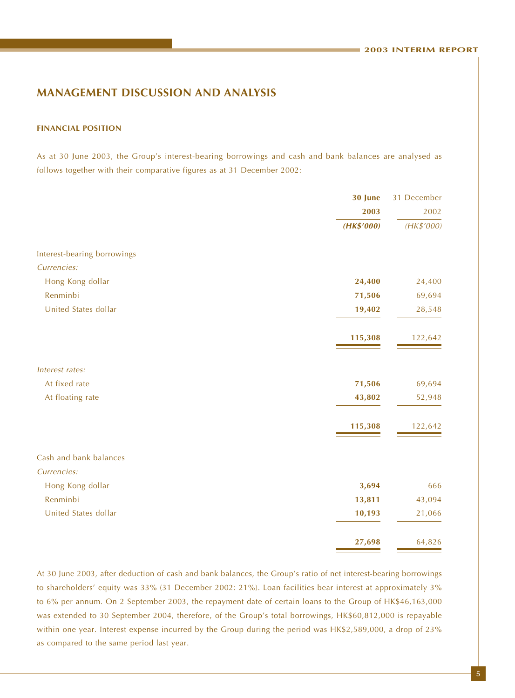#### **FINANCIAL POSITION**

As at 30 June 2003, the Group's interest-bearing borrowings and cash and bank balances are analysed as follows together with their comparative figures as at 31 December 2002:

|                             | 30 June    | 31 December |
|-----------------------------|------------|-------------|
|                             | 2003       | 2002        |
|                             | (HK\$'000) | (HK\$'000)  |
| Interest-bearing borrowings |            |             |
| Currencies:                 |            |             |
| Hong Kong dollar            | 24,400     | 24,400      |
| Renminbi                    | 71,506     | 69,694      |
| United States dollar        | 19,402     | 28,548      |
|                             | 115,308    | 122,642     |
| Interest rates:             |            |             |
| At fixed rate               | 71,506     | 69,694      |
| At floating rate            | 43,802     | 52,948      |
|                             | 115,308    | 122,642     |
| Cash and bank balances      |            |             |
| Currencies:                 |            |             |
| Hong Kong dollar            | 3,694      | 666         |
| Renminbi                    | 13,811     | 43,094      |
| United States dollar        | 10,193     | 21,066      |
|                             | 27,698     | 64,826      |

At 30 June 2003, after deduction of cash and bank balances, the Group's ratio of net interest-bearing borrowings to shareholders' equity was 33% (31 December 2002: 21%). Loan facilities bear interest at approximately 3% to 6% per annum. On 2 September 2003, the repayment date of certain loans to the Group of HK\$46,163,000 was extended to 30 September 2004, therefore, of the Group's total borrowings, HK\$60,812,000 is repayable within one year. Interest expense incurred by the Group during the period was HK\$2,589,000, a drop of 23% as compared to the same period last year.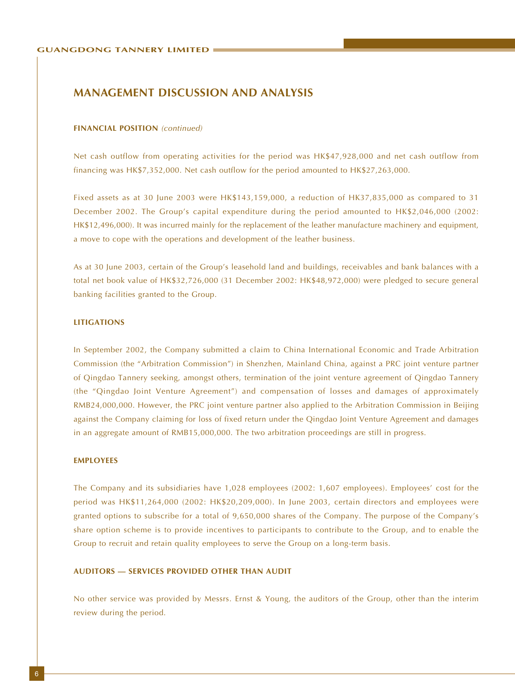#### **FINANCIAL POSITION** (continued)

Net cash outflow from operating activities for the period was HK\$47,928,000 and net cash outflow from financing was HK\$7,352,000. Net cash outflow for the period amounted to HK\$27,263,000.

Fixed assets as at 30 June 2003 were HK\$143,159,000, a reduction of HK37,835,000 as compared to 31 December 2002. The Group's capital expenditure during the period amounted to HK\$2,046,000 (2002: HK\$12,496,000). It was incurred mainly for the replacement of the leather manufacture machinery and equipment, a move to cope with the operations and development of the leather business.

As at 30 June 2003, certain of the Group's leasehold land and buildings, receivables and bank balances with a total net book value of HK\$32,726,000 (31 December 2002: HK\$48,972,000) were pledged to secure general banking facilities granted to the Group.

#### **LITIGATIONS**

In September 2002, the Company submitted a claim to China International Economic and Trade Arbitration Commission (the "Arbitration Commission") in Shenzhen, Mainland China, against a PRC joint venture partner of Qingdao Tannery seeking, amongst others, termination of the joint venture agreement of Qingdao Tannery (the "Qingdao Joint Venture Agreement") and compensation of losses and damages of approximately RMB24,000,000. However, the PRC joint venture partner also applied to the Arbitration Commission in Beijing against the Company claiming for loss of fixed return under the Qingdao Joint Venture Agreement and damages in an aggregate amount of RMB15,000,000. The two arbitration proceedings are still in progress.

#### **EMPLOYEES**

The Company and its subsidiaries have 1,028 employees (2002: 1,607 employees). Employees' cost for the period was HK\$11,264,000 (2002: HK\$20,209,000). In June 2003, certain directors and employees were granted options to subscribe for a total of 9,650,000 shares of the Company. The purpose of the Company's share option scheme is to provide incentives to participants to contribute to the Group, and to enable the Group to recruit and retain quality employees to serve the Group on a long-term basis.

#### **AUDITORS — SERVICES PROVIDED OTHER THAN AUDIT**

No other service was provided by Messrs. Ernst & Young, the auditors of the Group, other than the interim review during the period.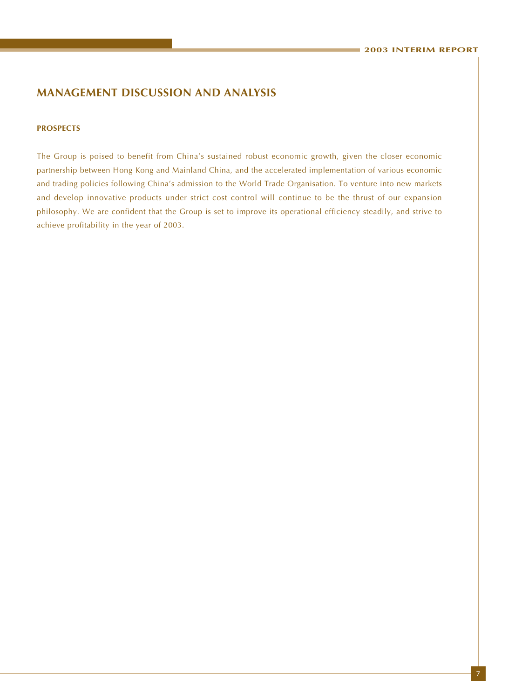#### **PROSPECTS**

The Group is poised to benefit from China's sustained robust economic growth, given the closer economic partnership between Hong Kong and Mainland China, and the accelerated implementation of various economic and trading policies following China's admission to the World Trade Organisation. To venture into new markets and develop innovative products under strict cost control will continue to be the thrust of our expansion philosophy. We are confident that the Group is set to improve its operational efficiency steadily, and strive to achieve profitability in the year of 2003.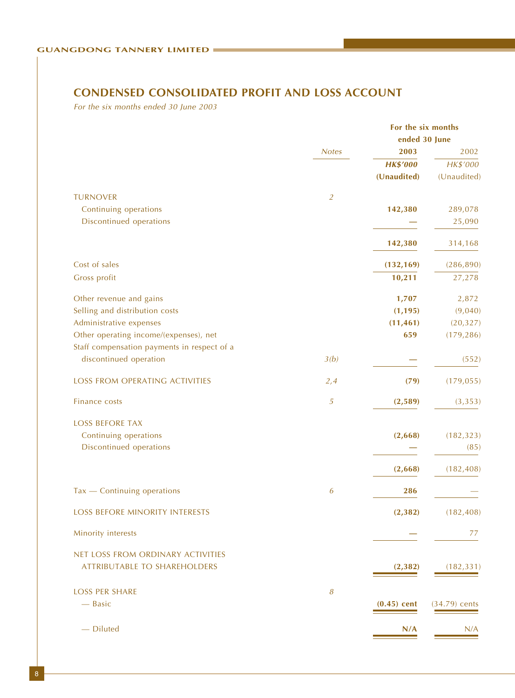# **CONDENSED CONSOLIDATED PROFIT AND LOSS ACCOUNT**

For the six months ended 30 June 2003

|                                                                                       |                | For the six months |               |  |  |
|---------------------------------------------------------------------------------------|----------------|--------------------|---------------|--|--|
|                                                                                       |                |                    | ended 30 June |  |  |
|                                                                                       | <b>Notes</b>   | 2003               | 2002          |  |  |
|                                                                                       |                | <b>HK\$'000</b>    | HK\$'000      |  |  |
|                                                                                       |                | (Unaudited)        | (Unaudited)   |  |  |
| <b>TURNOVER</b>                                                                       | $\overline{2}$ |                    |               |  |  |
| Continuing operations                                                                 |                | 142,380            | 289,078       |  |  |
| Discontinued operations                                                               |                |                    | 25,090        |  |  |
|                                                                                       |                | 142,380            | 314,168       |  |  |
| Cost of sales                                                                         |                | (132, 169)         | (286, 890)    |  |  |
| Gross profit                                                                          |                | 10,211             | 27,278        |  |  |
| Other revenue and gains                                                               |                | 1,707              | 2,872         |  |  |
| Selling and distribution costs                                                        |                | (1, 195)           | (9,040)       |  |  |
| Administrative expenses                                                               |                | (11, 461)          | (20, 327)     |  |  |
| Other operating income/(expenses), net<br>Staff compensation payments in respect of a |                | 659                | (179, 286)    |  |  |
| discontinued operation                                                                | 3(b)           |                    | (552)         |  |  |
| LOSS FROM OPERATING ACTIVITIES                                                        | 2,4            | (79)               | (179, 055)    |  |  |
| Finance costs                                                                         | 5              | (2,589)            | (3, 353)      |  |  |
| <b>LOSS BEFORE TAX</b>                                                                |                |                    |               |  |  |
| Continuing operations                                                                 |                | (2,668)            | (182, 323)    |  |  |
| Discontinued operations                                                               |                |                    | (85)          |  |  |
|                                                                                       |                |                    |               |  |  |
|                                                                                       |                | (2,668)            | (182, 408)    |  |  |
| $Tax$ - Continuing operations                                                         | 6              | 286                |               |  |  |
| LOSS BEFORE MINORITY INTERESTS                                                        |                | (2, 382)           | (182, 408)    |  |  |
| Minority interests                                                                    |                |                    | 77            |  |  |
| NET LOSS FROM ORDINARY ACTIVITIES                                                     |                |                    |               |  |  |
| <b>ATTRIBUTABLE TO SHAREHOLDERS</b>                                                   |                | (2, 382)           | (182, 331)    |  |  |
|                                                                                       |                |                    |               |  |  |
| <b>LOSS PER SHARE</b><br>- Basic                                                      | 8              | $(0.45)$ cent      | (34.79) cents |  |  |
|                                                                                       |                |                    |               |  |  |
| - Diluted                                                                             |                | N/A                | N/A           |  |  |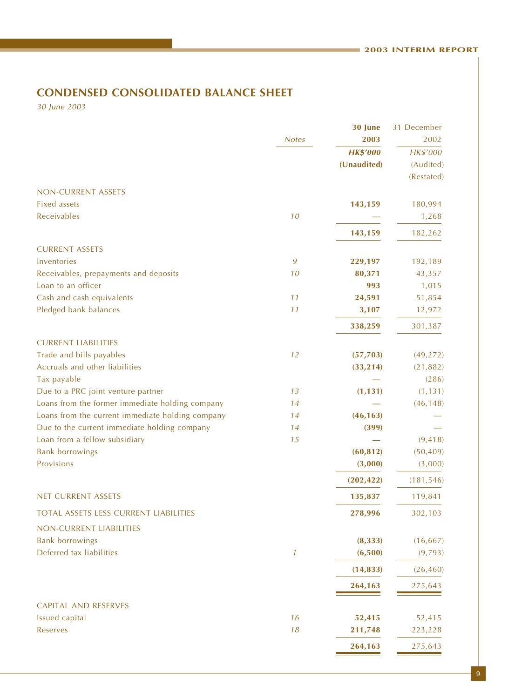### **CONDENSED CONSOLIDATED BALANCE SHEET CONDENSED CONSOLIDATED BALANCE SHEET**

30 June 2003

|                                                  |               | 30 June         | 31 December |
|--------------------------------------------------|---------------|-----------------|-------------|
|                                                  | <b>Notes</b>  | 2003            | 2002        |
|                                                  |               | <b>HK\$'000</b> | HK\$'000    |
|                                                  |               | (Unaudited)     | (Audited)   |
|                                                  |               |                 | (Restated)  |
| NON-CURRENT ASSETS                               |               |                 |             |
| <b>Fixed assets</b>                              |               | 143,159         | 180,994     |
| Receivables                                      | 10            |                 | 1,268       |
|                                                  |               | 143,159         | 182,262     |
| <b>CURRENT ASSETS</b>                            |               |                 |             |
| Inventories                                      | 9             | 229,197         | 192,189     |
| Receivables, prepayments and deposits            | 10            | 80,371          | 43,357      |
| Loan to an officer                               |               | 993             | 1,015       |
| Cash and cash equivalents                        | 11            | 24,591          | 51,854      |
| Pledged bank balances                            | 11            | 3,107           | 12,972      |
|                                                  |               | 338,259         | 301,387     |
| <b>CURRENT LIABILITIES</b>                       |               |                 |             |
| Trade and bills payables                         | 12            | (57, 703)       | (49, 272)   |
| Accruals and other liabilities                   |               | (33, 214)       | (21, 882)   |
| Tax payable                                      |               |                 | (286)       |
| Due to a PRC joint venture partner               | 13            | (1, 131)        | (1, 131)    |
| Loans from the former immediate holding company  | 14            |                 | (46, 148)   |
| Loans from the current immediate holding company | 14            | (46, 163)       |             |
| Due to the current immediate holding company     | 14            | (399)           |             |
| Loan from a fellow subsidiary                    | 15            |                 | (9, 418)    |
| <b>Bank borrowings</b>                           |               | (60, 812)       | (50, 409)   |
| Provisions                                       |               | (3,000)         | (3,000)     |
|                                                  |               | (202, 422)      | (181, 546)  |
| NET CURRENT ASSETS                               |               | 135,837         | 119,841     |
| TOTAL ASSETS LESS CURRENT LIABILITIES            |               | 278,996         | 302,103     |
| NON-CURRENT LIABILITIES                          |               |                 |             |
| <b>Bank borrowings</b>                           |               | (8, 333)        | (16, 667)   |
| Deferred tax liabilities                         | $\mathcal{I}$ | (6,500)         | (9,793)     |
|                                                  |               |                 |             |
|                                                  |               | (14, 833)       | (26, 460)   |
|                                                  |               | 264,163         | 275,643     |
| <b>CAPITAL AND RESERVES</b>                      |               |                 |             |
| Issued capital                                   | 16            | 52,415          | 52,415      |
| Reserves                                         | 18            | 211,748         | 223,228     |
|                                                  |               | 264,163         | 275,643     |
|                                                  |               |                 |             |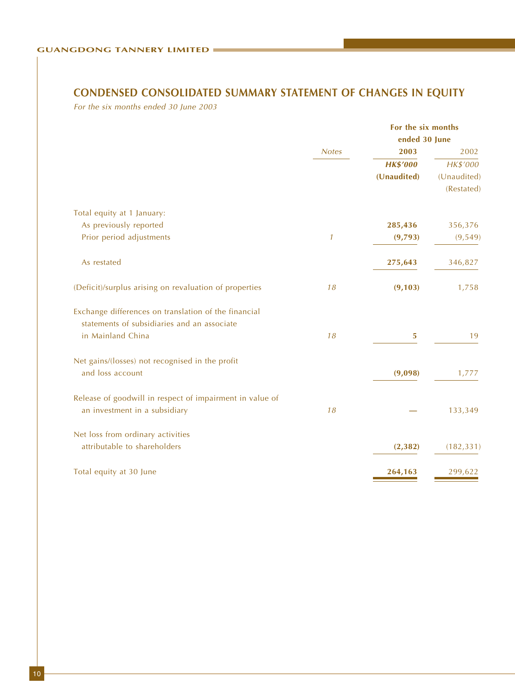# **CONDENSED CONSOLIDATED SUMMARY STATEMENT OF CHANGES IN EQUITY**

For the six months ended 30 June 2003

|                                                          |               | For the six months |             |  |  |
|----------------------------------------------------------|---------------|--------------------|-------------|--|--|
|                                                          |               | ended 30 June      |             |  |  |
|                                                          | <b>Notes</b>  | 2003               | 2002        |  |  |
|                                                          |               | <b>HK\$'000</b>    | HK\$'000    |  |  |
|                                                          |               | (Unaudited)        | (Unaudited) |  |  |
|                                                          |               |                    | (Restated)  |  |  |
| Total equity at 1 January:                               |               |                    |             |  |  |
| As previously reported                                   |               | 285,436            | 356,376     |  |  |
| Prior period adjustments                                 | $\mathcal{I}$ | (9,793)            | (9, 549)    |  |  |
| As restated                                              |               | 275,643            | 346,827     |  |  |
| (Deficit)/surplus arising on revaluation of properties   | 18            | (9, 103)           | 1,758       |  |  |
| Exchange differences on translation of the financial     |               |                    |             |  |  |
| statements of subsidiaries and an associate              |               |                    |             |  |  |
| in Mainland China                                        | 18            | 5                  | 19          |  |  |
| Net gains/(losses) not recognised in the profit          |               |                    |             |  |  |
| and loss account                                         |               | (9,098)            | 1,777       |  |  |
| Release of goodwill in respect of impairment in value of |               |                    |             |  |  |
| an investment in a subsidiary                            | 18            |                    | 133,349     |  |  |
| Net loss from ordinary activities                        |               |                    |             |  |  |
| attributable to shareholders                             |               | (2, 382)           | (182, 331)  |  |  |
| Total equity at 30 June                                  |               | 264,163            | 299,622     |  |  |
|                                                          |               |                    |             |  |  |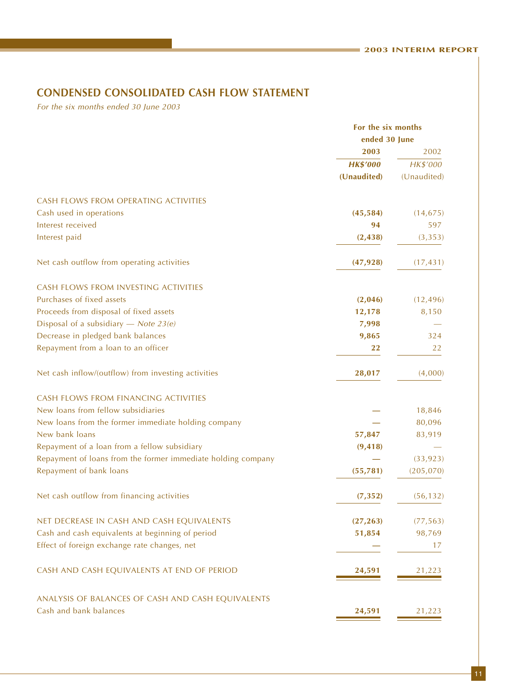#### **CONDENSED CONSOLIDATED CASH FLOW STATEMENT CONDENSED CONSOLIDATED CASH FLOW STATEMENT**

For the six months ended 30 June 2003

|                                                              | For the six months |             |  |
|--------------------------------------------------------------|--------------------|-------------|--|
|                                                              | ended 30 June      |             |  |
|                                                              | 2003               | 2002        |  |
|                                                              | <b>HK\$'000</b>    | HK\$'000    |  |
|                                                              | (Unaudited)        | (Unaudited) |  |
| CASH FLOWS FROM OPERATING ACTIVITIES                         |                    |             |  |
| Cash used in operations                                      | (45, 584)          | (14, 675)   |  |
| Interest received                                            | 94                 | 597         |  |
| Interest paid                                                | (2, 438)           | (3, 353)    |  |
| Net cash outflow from operating activities                   | (47, 928)          | (17, 431)   |  |
| CASH FLOWS FROM INVESTING ACTIVITIES                         |                    |             |  |
| Purchases of fixed assets                                    | (2,046)            | (12, 496)   |  |
| Proceeds from disposal of fixed assets                       | 12,178             | 8,150       |  |
| Disposal of a subsidiary - Note $23(e)$                      | 7,998              |             |  |
| Decrease in pledged bank balances                            | 9,865              | 324         |  |
| Repayment from a loan to an officer                          | 22                 | 22          |  |
| Net cash inflow/(outflow) from investing activities          | 28,017             | (4,000)     |  |
| CASH FLOWS FROM FINANCING ACTIVITIES                         |                    |             |  |
| New loans from fellow subsidiaries                           |                    | 18,846      |  |
| New loans from the former immediate holding company          |                    | 80,096      |  |
| New bank loans                                               | 57,847             | 83,919      |  |
| Repayment of a loan from a fellow subsidiary                 | (9, 418)           |             |  |
| Repayment of loans from the former immediate holding company |                    | (33, 923)   |  |
| Repayment of bank loans                                      | (55, 781)          | (205, 070)  |  |
| Net cash outflow from financing activities                   | (7, 352)           | (56, 132)   |  |
| NET DECREASE IN CASH AND CASH EQUIVALENTS                    | (27, 263)          | (77, 563)   |  |
| Cash and cash equivalents at beginning of period             | 51,854             | 98,769      |  |
| Effect of foreign exchange rate changes, net                 |                    | 17          |  |
| CASH AND CASH EQUIVALENTS AT END OF PERIOD                   | 24,591             | 21,223      |  |
| ANALYSIS OF BALANCES OF CASH AND CASH EQUIVALENTS            |                    |             |  |
| Cash and bank balances                                       | 24,591             | 21,223      |  |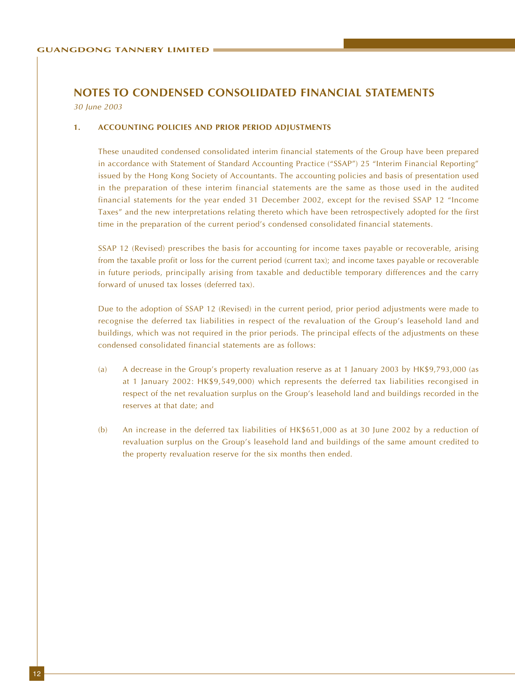30 June 2003

#### **1. ACCOUNTING POLICIES AND PRIOR PERIOD ADJUSTMENTS**

These unaudited condensed consolidated interim financial statements of the Group have been prepared in accordance with Statement of Standard Accounting Practice ("SSAP") 25 "Interim Financial Reporting" issued by the Hong Kong Society of Accountants. The accounting policies and basis of presentation used in the preparation of these interim financial statements are the same as those used in the audited financial statements for the year ended 31 December 2002, except for the revised SSAP 12 "Income Taxes" and the new interpretations relating thereto which have been retrospectively adopted for the first time in the preparation of the current period's condensed consolidated financial statements.

SSAP 12 (Revised) prescribes the basis for accounting for income taxes payable or recoverable, arising from the taxable profit or loss for the current period (current tax); and income taxes payable or recoverable in future periods, principally arising from taxable and deductible temporary differences and the carry forward of unused tax losses (deferred tax).

Due to the adoption of SSAP 12 (Revised) in the current period, prior period adjustments were made to recognise the deferred tax liabilities in respect of the revaluation of the Group's leasehold land and buildings, which was not required in the prior periods. The principal effects of the adjustments on these condensed consolidated financial statements are as follows:

- (a) A decrease in the Group's property revaluation reserve as at 1 January 2003 by HK\$9,793,000 (as at 1 January 2002: HK\$9,549,000) which represents the deferred tax liabilities recongised in respect of the net revaluation surplus on the Group's leasehold land and buildings recorded in the reserves at that date; and
- (b) An increase in the deferred tax liabilities of HK\$651,000 as at 30 June 2002 by a reduction of revaluation surplus on the Group's leasehold land and buildings of the same amount credited to the property revaluation reserve for the six months then ended.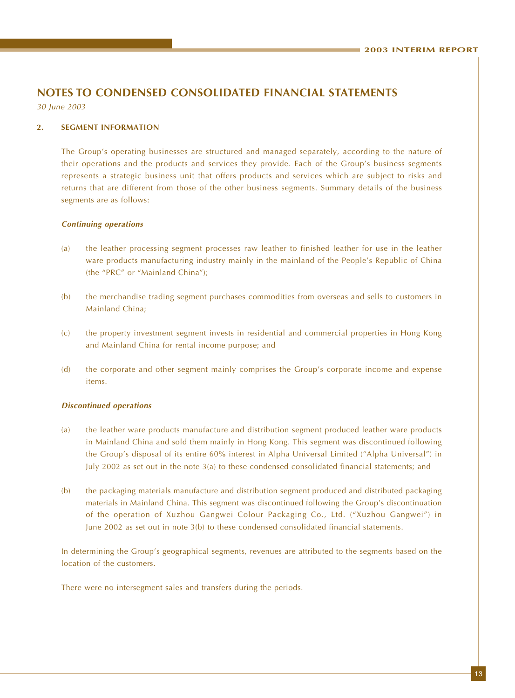30 June 2003

#### **2. SEGMENT INFORMATION**

The Group's operating businesses are structured and managed separately, according to the nature of their operations and the products and services they provide. Each of the Group's business segments represents a strategic business unit that offers products and services which are subject to risks and returns that are different from those of the other business segments. Summary details of the business segments are as follows:

#### **Continuing operations**

- (a) the leather processing segment processes raw leather to finished leather for use in the leather ware products manufacturing industry mainly in the mainland of the People's Republic of China (the "PRC" or "Mainland China");
- (b) the merchandise trading segment purchases commodities from overseas and sells to customers in Mainland China;
- (c) the property investment segment invests in residential and commercial properties in Hong Kong and Mainland China for rental income purpose; and
- (d) the corporate and other segment mainly comprises the Group's corporate income and expense items.

#### **Discontinued operations**

- (a) the leather ware products manufacture and distribution segment produced leather ware products in Mainland China and sold them mainly in Hong Kong. This segment was discontinued following the Group's disposal of its entire 60% interest in Alpha Universal Limited ("Alpha Universal") in July 2002 as set out in the note 3(a) to these condensed consolidated financial statements; and
- (b) the packaging materials manufacture and distribution segment produced and distributed packaging materials in Mainland China. This segment was discontinued following the Group's discontinuation of the operation of Xuzhou Gangwei Colour Packaging Co., Ltd. ("Xuzhou Gangwei") in June 2002 as set out in note 3(b) to these condensed consolidated financial statements.

In determining the Group's geographical segments, revenues are attributed to the segments based on the location of the customers.

There were no intersegment sales and transfers during the periods.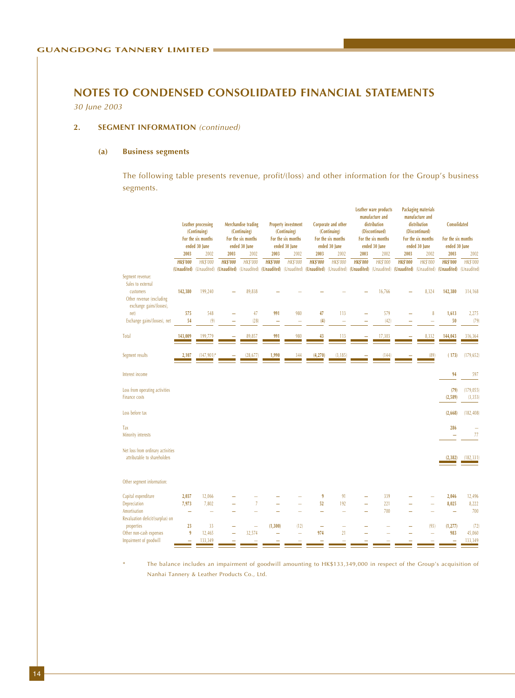30 June 2003

#### 2. **SEGMENT INFORMATION** (continued)

#### **(a) Business segments**

The following table presents revenue, profit/(loss) and other information for the Group's business segments.

|                                                      |                 | <b>Leather processing</b><br>(Continuing)<br>For the six months                                                                                                                     |                 | Merchandise trading<br>(Continuing)<br>For the six months |                 | <b>Property investment</b><br>(Continuing)<br>For the six months |                 | Corporate and other<br>(Continuing)<br>For the six months |                 | Leather ware products<br>manufacture and<br>distribution<br>(Discontinued)<br>For the six months |                 | <b>Packaging materials</b><br>manufacture and<br>distribution<br>(Discontinued)<br>For the six months | Consolidated<br>For the six months |                 |  |
|------------------------------------------------------|-----------------|-------------------------------------------------------------------------------------------------------------------------------------------------------------------------------------|-----------------|-----------------------------------------------------------|-----------------|------------------------------------------------------------------|-----------------|-----------------------------------------------------------|-----------------|--------------------------------------------------------------------------------------------------|-----------------|-------------------------------------------------------------------------------------------------------|------------------------------------|-----------------|--|
|                                                      |                 | ended 30 June                                                                                                                                                                       |                 | ended 30 June                                             |                 | ended 30 June                                                    |                 | ended 30 June                                             |                 | ended 30 June                                                                                    |                 | ended 30 June                                                                                         |                                    | ended 30 June   |  |
|                                                      | 2003            | 2002                                                                                                                                                                                | 2003            | 2002                                                      | 2003            | 2002                                                             | 2003            | 2002                                                      | 2003            | 2002                                                                                             | 2003            | 2002                                                                                                  | 2003                               | 2002            |  |
|                                                      | <b>HK\$'000</b> | <b>HK\$'000</b>                                                                                                                                                                     | <b>HK\$'000</b> | <b>HK\$'000</b>                                           | <b>HK\$'000</b> | <b>HK\$'000</b>                                                  | <b>HK\$'000</b> | <b>HK\$'000</b>                                           | <b>HK\$'000</b> | <b>HK\$'000</b>                                                                                  | <b>HK\$'000</b> | <b>HK\$'000</b>                                                                                       | <b>HK\$'000</b>                    | <b>HK\$'000</b> |  |
|                                                      |                 | (Unaudited) (Unaudited) (Unaudited) (Unaudited) (Unaudited) (Unaudited) (Unaudited) (Unaudited) (Unaudited) (Unaudited) (Unaudited) (Unaudited) (Unaudited) (Unaudited) (Unaudited) |                 |                                                           |                 |                                                                  |                 |                                                           |                 |                                                                                                  |                 |                                                                                                       |                                    | (Unaudited)     |  |
| Segment revenue:                                     |                 |                                                                                                                                                                                     |                 |                                                           |                 |                                                                  |                 |                                                           |                 |                                                                                                  |                 |                                                                                                       |                                    |                 |  |
| Sales to external                                    |                 |                                                                                                                                                                                     |                 |                                                           |                 |                                                                  |                 |                                                           |                 |                                                                                                  |                 |                                                                                                       |                                    |                 |  |
| customers                                            | 142,380         | 199,240                                                                                                                                                                             |                 | 89,838                                                    |                 |                                                                  |                 |                                                           |                 | 16,766                                                                                           |                 | 8,324                                                                                                 | 142,380                            | 314,168         |  |
| Other revenue (excluding<br>exchange gains/(losses), |                 |                                                                                                                                                                                     |                 |                                                           |                 |                                                                  |                 |                                                           |                 |                                                                                                  |                 |                                                                                                       |                                    |                 |  |
| net)                                                 | 575             | 548                                                                                                                                                                                 |                 | 47                                                        | 991             | 980                                                              | 47              | 113                                                       |                 | 579                                                                                              |                 | 8                                                                                                     | 1,613                              | 2,275           |  |
| Exchange gains/(losses), net                         | 54              | (9)                                                                                                                                                                                 |                 | (28)                                                      |                 |                                                                  | (4)             | ۰                                                         |                 | (42)                                                                                             |                 |                                                                                                       | 50                                 | (79)            |  |
|                                                      |                 |                                                                                                                                                                                     |                 |                                                           |                 |                                                                  |                 |                                                           |                 |                                                                                                  |                 |                                                                                                       |                                    |                 |  |
| Total                                                | 143,009         | <u>199,779</u>                                                                                                                                                                      |                 | 89,857                                                    | <u>991</u>      | 980                                                              | $\frac{43}{1}$  | $\frac{113}{1}$                                           |                 | 17,303                                                                                           |                 | 8,332                                                                                                 | 144,043                            | 316,364         |  |
|                                                      |                 |                                                                                                                                                                                     |                 |                                                           |                 |                                                                  |                 |                                                           |                 |                                                                                                  |                 |                                                                                                       |                                    |                 |  |
|                                                      |                 |                                                                                                                                                                                     |                 |                                                           |                 |                                                                  |                 |                                                           |                 |                                                                                                  |                 |                                                                                                       |                                    | (179, 652)      |  |
| Segment results                                      | 2,107           | $(147,901)^*$                                                                                                                                                                       |                 | (28, 677)                                                 | 1,990           | $\frac{344}{5}$                                                  | (4,270)         | (3, 185)                                                  |                 |                                                                                                  |                 | (89)                                                                                                  | (173)                              |                 |  |
|                                                      |                 |                                                                                                                                                                                     |                 |                                                           |                 |                                                                  |                 |                                                           |                 |                                                                                                  |                 |                                                                                                       |                                    |                 |  |
| Interest income                                      |                 |                                                                                                                                                                                     |                 |                                                           |                 |                                                                  |                 |                                                           |                 |                                                                                                  |                 |                                                                                                       | 94                                 | 597             |  |
|                                                      |                 |                                                                                                                                                                                     |                 |                                                           |                 |                                                                  |                 |                                                           |                 |                                                                                                  |                 |                                                                                                       |                                    |                 |  |
| Loss from operating activities                       |                 |                                                                                                                                                                                     |                 |                                                           |                 |                                                                  |                 |                                                           |                 |                                                                                                  |                 |                                                                                                       | (79)                               | (179, 055)      |  |
| Finance costs                                        |                 |                                                                                                                                                                                     |                 |                                                           |                 |                                                                  |                 |                                                           |                 |                                                                                                  |                 |                                                                                                       | (2,589)                            | (3, 353)        |  |
| Loss before tax                                      |                 |                                                                                                                                                                                     |                 |                                                           |                 |                                                                  |                 |                                                           |                 |                                                                                                  |                 |                                                                                                       | (2,668)                            | (182, 408)      |  |
|                                                      |                 |                                                                                                                                                                                     |                 |                                                           |                 |                                                                  |                 |                                                           |                 |                                                                                                  |                 |                                                                                                       |                                    |                 |  |
| Tax                                                  |                 |                                                                                                                                                                                     |                 |                                                           |                 |                                                                  |                 |                                                           |                 |                                                                                                  |                 |                                                                                                       | 286                                |                 |  |
| Minority interests                                   |                 |                                                                                                                                                                                     |                 |                                                           |                 |                                                                  |                 |                                                           |                 |                                                                                                  |                 |                                                                                                       | ۰                                  | 77              |  |
|                                                      |                 |                                                                                                                                                                                     |                 |                                                           |                 |                                                                  |                 |                                                           |                 |                                                                                                  |                 |                                                                                                       |                                    |                 |  |
| Net loss from ordinary activities                    |                 |                                                                                                                                                                                     |                 |                                                           |                 |                                                                  |                 |                                                           |                 |                                                                                                  |                 |                                                                                                       |                                    |                 |  |
| attributable to shareholders                         |                 |                                                                                                                                                                                     |                 |                                                           |                 |                                                                  |                 |                                                           |                 |                                                                                                  |                 |                                                                                                       | (2, 382)                           | (182, 331)      |  |
|                                                      |                 |                                                                                                                                                                                     |                 |                                                           |                 |                                                                  |                 |                                                           |                 |                                                                                                  |                 |                                                                                                       |                                    |                 |  |
|                                                      |                 |                                                                                                                                                                                     |                 |                                                           |                 |                                                                  |                 |                                                           |                 |                                                                                                  |                 |                                                                                                       |                                    |                 |  |
| Other segment information:                           |                 |                                                                                                                                                                                     |                 |                                                           |                 |                                                                  |                 |                                                           |                 |                                                                                                  |                 |                                                                                                       |                                    |                 |  |
|                                                      |                 |                                                                                                                                                                                     |                 |                                                           |                 |                                                                  |                 |                                                           |                 |                                                                                                  |                 |                                                                                                       |                                    |                 |  |
| Capital expenditure                                  | 2,037           | 12,066                                                                                                                                                                              |                 |                                                           |                 |                                                                  | 9               | 91                                                        |                 | 339                                                                                              |                 |                                                                                                       | 2,046                              | 12,496          |  |
| Depreciation                                         | 7,973           | 7,802                                                                                                                                                                               |                 | $\overline{7}$                                            |                 |                                                                  | 52              | 192                                                       | L.              | 221<br>700                                                                                       |                 |                                                                                                       | 8,025                              | 8,222           |  |
| Amortisation<br>Revaluation deficit/(surplus) on     | L,              | L,                                                                                                                                                                                  |                 | ÷                                                         |                 |                                                                  | ÷               | ÷                                                         |                 |                                                                                                  |                 |                                                                                                       | $\equiv$                           | 700             |  |
| properties                                           | 23              | 33                                                                                                                                                                                  |                 | -                                                         | (1, 300)        | (12)                                                             | -               | ٠                                                         |                 |                                                                                                  |                 | (93)                                                                                                  | (1, 277)                           | (72)            |  |
| Other non-cash expenses                              | $\overline{9}$  | 12,465                                                                                                                                                                              |                 | 32,574                                                    |                 | ÷                                                                | 974             | 21                                                        |                 |                                                                                                  |                 |                                                                                                       | 983                                | 45,060          |  |
| Impairment of goodwill                               |                 | 133,349                                                                                                                                                                             |                 |                                                           |                 |                                                                  |                 |                                                           |                 |                                                                                                  |                 |                                                                                                       |                                    | 133,349         |  |
|                                                      |                 |                                                                                                                                                                                     |                 |                                                           |                 |                                                                  |                 |                                                           |                 |                                                                                                  |                 |                                                                                                       |                                    |                 |  |

The balance includes an impairment of goodwill amounting to HK\$133,349,000 in respect of the Group's acquisition of Nanhai Tannery & Leather Products Co., Ltd.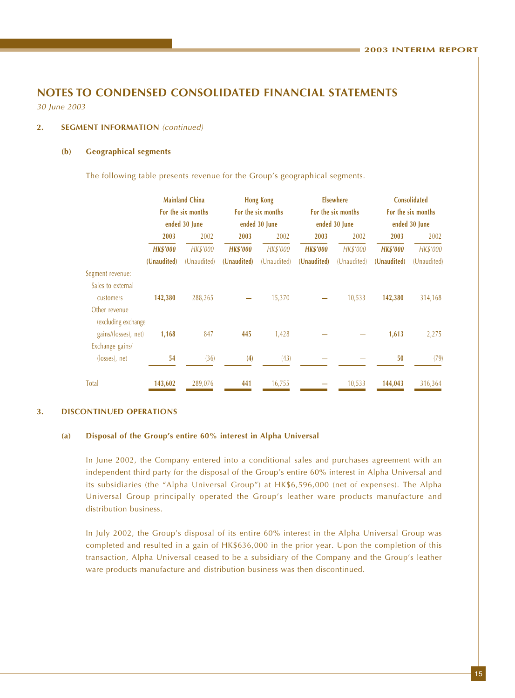30 June 2003

#### **2. SEGMENT INFORMATION** (continued)

#### **(b) Geographical segments**

The following table presents revenue for the Group's geographical segments.

|                                         | <b>Mainland China</b><br>For the six months<br>ended 30 June |             | <b>Hong Kong</b><br>For the six months<br>ended 30 June |             |                 | <b>Elsewhere</b><br>For the six months | <b>Consolidated</b><br>For the six months<br>ended 30 June |             |  |
|-----------------------------------------|--------------------------------------------------------------|-------------|---------------------------------------------------------|-------------|-----------------|----------------------------------------|------------------------------------------------------------|-------------|--|
|                                         |                                                              |             |                                                         |             |                 | ended 30 June                          |                                                            |             |  |
|                                         | 2003                                                         | 2002        | 2003                                                    | 2002        | 2003            | 2002                                   | 2003                                                       | 2002        |  |
|                                         | <b>HK\$'000</b>                                              | HK\$'000    | <b>HK\$'000</b>                                         | HK\$'000    | <b>HK\$'000</b> | HK\$'000                               | <b>HK\$'000</b>                                            | HK\$'000    |  |
|                                         | (Unaudited)                                                  | (Unaudited) | (Unaudited)                                             | (Unaudited) | (Unaudited)     | (Unaudited)                            | (Unaudited)                                                | (Unaudited) |  |
| Segment revenue:                        |                                                              |             |                                                         |             |                 |                                        |                                                            |             |  |
| Sales to external<br>customers          | 142,380                                                      | 288,265     |                                                         | 15,370      |                 | 10,533                                 | 142,380                                                    | 314,168     |  |
| Other revenue<br>(excluding exchange    |                                                              |             |                                                         |             |                 |                                        |                                                            |             |  |
| gains/(losses), net)<br>Exchange gains/ | 1,168                                                        | 847         | 445                                                     | 1,428       |                 |                                        | 1,613                                                      | 2,275       |  |
| (losses), net                           | 54                                                           | (36)        | (4)                                                     | (43)        |                 |                                        | 50                                                         | (79)        |  |
| Total                                   | 143,602                                                      | 289,076     | 441                                                     | 16,755      |                 | 10,533                                 | 144,043                                                    | 316,364     |  |

#### **3. DISCONTINUED OPERATIONS**

#### **(a) Disposal of the Group's entire 60% interest in Alpha Universal**

In June 2002, the Company entered into a conditional sales and purchases agreement with an independent third party for the disposal of the Group's entire 60% interest in Alpha Universal and its subsidiaries (the "Alpha Universal Group") at HK\$6,596,000 (net of expenses). The Alpha Universal Group principally operated the Group's leather ware products manufacture and distribution business.

In July 2002, the Group's disposal of its entire 60% interest in the Alpha Universal Group was completed and resulted in a gain of HK\$636,000 in the prior year. Upon the completion of this transaction, Alpha Universal ceased to be a subsidiary of the Company and the Group's leather ware products manufacture and distribution business was then discontinued.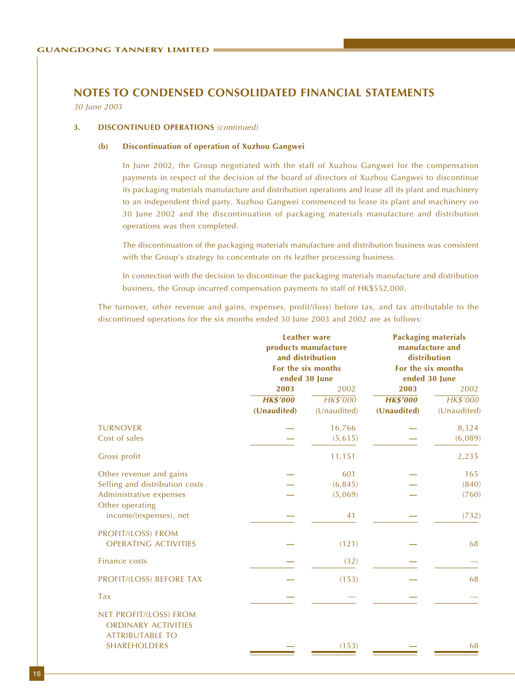30 June 2003

#### **3. DISCONTINUED OPERATIONS** (continued)

#### **(b) Discontinuation of operation of Xuzhou Gangwei**

In June 2002, the Group negotiated with the staff of Xuzhou Gangwei for the compensation payments in respect of the decision of the board of directors of Xuzhou Gangwei to discontinue its packaging materials manufacture and distribution operations and lease all its plant and machinery to an independent third party. Xuzhou Gangwei commenced to lease its plant and machinery on 30 June 2002 and the discontinuation of packaging materials manufacture and distribution operations was then completed.

The discontinuation of the packaging materials manufacture and distribution business was consistent with the Group's strategy to concentrate on its leather processing business.

In connection with the decision to discontinue the packaging materials manufacture and distribution business, the Group incurred compensation payments to staff of HK\$552,000.

The turnover, other revenue and gains, expenses, profit/(loss) before tax, and tax attributable to the discontinued operations for the six months ended 30 June 2003 and 2002 are as follows:

|                 |             | <b>Packaging materials</b><br>manufacture and<br>distribution<br>For the six months<br>ended 30 June   |             |  |
|-----------------|-------------|--------------------------------------------------------------------------------------------------------|-------------|--|
| 2003            | 2002        | 2003                                                                                                   | 2002        |  |
| <b>HK\$'000</b> | HK\$'000    | <b>HK\$'000</b>                                                                                        | HK\$'000    |  |
| (Unaudited)     | (Unaudited) | (Unaudited)                                                                                            | (Unaudited) |  |
|                 | 16,766      |                                                                                                        | 8,324       |  |
|                 | (5,615)     |                                                                                                        | (6,089)     |  |
|                 | 11,151      |                                                                                                        | 2,235       |  |
|                 | 601         |                                                                                                        | 165         |  |
|                 | (6, 845)    |                                                                                                        | (840)       |  |
|                 | (5,069)     |                                                                                                        | (760)       |  |
|                 | 41          |                                                                                                        | (732)       |  |
|                 | (121)       |                                                                                                        | 68          |  |
|                 | (32)        |                                                                                                        |             |  |
|                 | (153)       |                                                                                                        | 68          |  |
|                 |             |                                                                                                        |             |  |
|                 | (153)       |                                                                                                        | 68          |  |
|                 |             | <b>Leather ware</b><br>products manufacture<br>and distribution<br>For the six months<br>ended 30 June |             |  |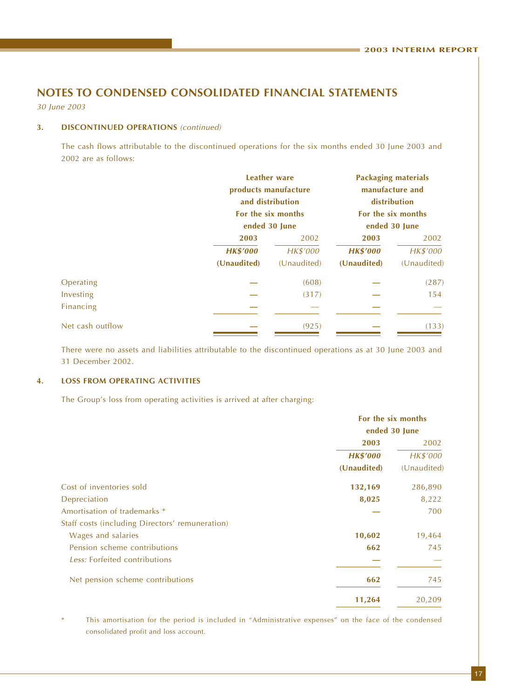30 June 2003

#### **3. DISCONTINUED OPERATIONS** (continued)

The cash flows attributable to the discontinued operations for the six months ended 30 June 2003 and 2002 are as follows:

|                  |                 | <b>Leather ware</b><br>products manufacture<br>and distribution<br>For the six months<br>ended 30 June | <b>Packaging materials</b><br>manufacture and<br>distribution<br>For the six months<br>ended 30 June |             |  |
|------------------|-----------------|--------------------------------------------------------------------------------------------------------|------------------------------------------------------------------------------------------------------|-------------|--|
|                  | 2003            | 2002                                                                                                   | 2003                                                                                                 | 2002        |  |
|                  | <b>HK\$'000</b> | HK\$'000                                                                                               | <b>HK\$'000</b>                                                                                      | HK\$'000    |  |
|                  | (Unaudited)     | (Unaudited)                                                                                            | (Unaudited)                                                                                          | (Unaudited) |  |
| Operating        |                 | (608)                                                                                                  |                                                                                                      | (287)       |  |
| Investing        |                 | (317)                                                                                                  |                                                                                                      | 154         |  |
| Financing        |                 |                                                                                                        |                                                                                                      |             |  |
| Net cash outflow |                 | (925)                                                                                                  |                                                                                                      | (133)       |  |

There were no assets and liabilities attributable to the discontinued operations as at 30 June 2003 and 31 December 2002.

#### **4. LOSS FROM OPERATING ACTIVITIES**

The Group's loss from operating activities is arrived at after charging:

|                                                 | For the six months |             |  |
|-------------------------------------------------|--------------------|-------------|--|
|                                                 | ended 30 June      |             |  |
|                                                 | 2003               | 2002        |  |
|                                                 | <b>HK\$'000</b>    | HK\$'000    |  |
|                                                 | (Unaudited)        | (Unaudited) |  |
| Cost of inventories sold                        | 132,169            | 286,890     |  |
| Depreciation                                    | 8,025              | 8,222       |  |
| Amortisation of trademarks *                    |                    | 700         |  |
| Staff costs (including Directors' remuneration) |                    |             |  |
| Wages and salaries                              | 10,602             | 19,464      |  |
| Pension scheme contributions                    | 662                | 745         |  |
| Less: Forfeited contributions                   |                    |             |  |
| Net pension scheme contributions                | 662                | 745         |  |
|                                                 | 11,264             | 20,209      |  |

This amortisation for the period is included in "Administrative expenses" on the face of the condensed consolidated profit and loss account.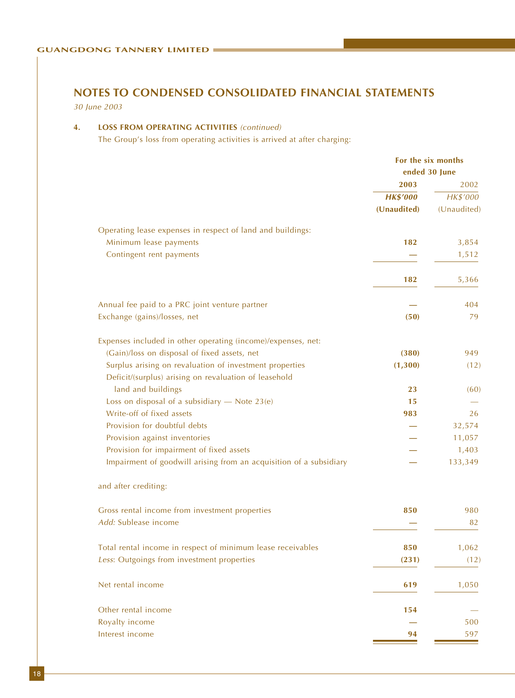30 June 2003

#### **4. LOSS FROM OPERATING ACTIVITIES** (continued)

The Group's loss from operating activities is arrived at after charging:

| 2003<br>2002<br><b>HK\$'000</b><br>HK\$'000<br>(Unaudited)<br>Operating lease expenses in respect of land and buildings:<br>Minimum lease payments<br>182<br>3,854<br>Contingent rent payments<br>1,512<br>5,366<br>182<br>Annual fee paid to a PRC joint venture partner<br>404<br>Exchange (gains)/losses, net<br>79<br>(50)<br>Expenses included in other operating (income)/expenses, net:<br>(Gain)/loss on disposal of fixed assets, net<br>(380)<br>949<br>Surplus arising on revaluation of investment properties<br>(1, 300)<br>Deficit/(surplus) arising on revaluation of leasehold<br>land and buildings<br>23<br>Loss on disposal of a subsidiary $-$ Note 23(e)<br>15<br>Write-off of fixed assets<br>983<br>26<br>Provision for doubtful debts<br>32,574<br>Provision against inventories<br>11,057<br>Provision for impairment of fixed assets<br>1,403<br>Impairment of goodwill arising from an acquisition of a subsidiary<br>133,349<br>and after crediting:<br>Gross rental income from investment properties<br>850<br>980<br>Add: Sublease income<br>82<br>Total rental income in respect of minimum lease receivables<br>850<br>Less: Outgoings from investment properties<br>(231)<br>Net rental income<br>1,050<br>619<br>Other rental income<br>154<br>Royalty income<br>500<br>Interest income<br>597<br>94 | For the six months<br>ended 30 June |             |
|-----------------------------------------------------------------------------------------------------------------------------------------------------------------------------------------------------------------------------------------------------------------------------------------------------------------------------------------------------------------------------------------------------------------------------------------------------------------------------------------------------------------------------------------------------------------------------------------------------------------------------------------------------------------------------------------------------------------------------------------------------------------------------------------------------------------------------------------------------------------------------------------------------------------------------------------------------------------------------------------------------------------------------------------------------------------------------------------------------------------------------------------------------------------------------------------------------------------------------------------------------------------------------------------------------------------------------------------|-------------------------------------|-------------|
|                                                                                                                                                                                                                                                                                                                                                                                                                                                                                                                                                                                                                                                                                                                                                                                                                                                                                                                                                                                                                                                                                                                                                                                                                                                                                                                                         |                                     |             |
|                                                                                                                                                                                                                                                                                                                                                                                                                                                                                                                                                                                                                                                                                                                                                                                                                                                                                                                                                                                                                                                                                                                                                                                                                                                                                                                                         |                                     |             |
|                                                                                                                                                                                                                                                                                                                                                                                                                                                                                                                                                                                                                                                                                                                                                                                                                                                                                                                                                                                                                                                                                                                                                                                                                                                                                                                                         |                                     | (Unaudited) |
|                                                                                                                                                                                                                                                                                                                                                                                                                                                                                                                                                                                                                                                                                                                                                                                                                                                                                                                                                                                                                                                                                                                                                                                                                                                                                                                                         |                                     |             |
|                                                                                                                                                                                                                                                                                                                                                                                                                                                                                                                                                                                                                                                                                                                                                                                                                                                                                                                                                                                                                                                                                                                                                                                                                                                                                                                                         |                                     |             |
|                                                                                                                                                                                                                                                                                                                                                                                                                                                                                                                                                                                                                                                                                                                                                                                                                                                                                                                                                                                                                                                                                                                                                                                                                                                                                                                                         |                                     |             |
|                                                                                                                                                                                                                                                                                                                                                                                                                                                                                                                                                                                                                                                                                                                                                                                                                                                                                                                                                                                                                                                                                                                                                                                                                                                                                                                                         |                                     |             |
|                                                                                                                                                                                                                                                                                                                                                                                                                                                                                                                                                                                                                                                                                                                                                                                                                                                                                                                                                                                                                                                                                                                                                                                                                                                                                                                                         |                                     |             |
|                                                                                                                                                                                                                                                                                                                                                                                                                                                                                                                                                                                                                                                                                                                                                                                                                                                                                                                                                                                                                                                                                                                                                                                                                                                                                                                                         |                                     |             |
|                                                                                                                                                                                                                                                                                                                                                                                                                                                                                                                                                                                                                                                                                                                                                                                                                                                                                                                                                                                                                                                                                                                                                                                                                                                                                                                                         |                                     |             |
|                                                                                                                                                                                                                                                                                                                                                                                                                                                                                                                                                                                                                                                                                                                                                                                                                                                                                                                                                                                                                                                                                                                                                                                                                                                                                                                                         |                                     |             |
|                                                                                                                                                                                                                                                                                                                                                                                                                                                                                                                                                                                                                                                                                                                                                                                                                                                                                                                                                                                                                                                                                                                                                                                                                                                                                                                                         |                                     | (12)        |
|                                                                                                                                                                                                                                                                                                                                                                                                                                                                                                                                                                                                                                                                                                                                                                                                                                                                                                                                                                                                                                                                                                                                                                                                                                                                                                                                         |                                     |             |
|                                                                                                                                                                                                                                                                                                                                                                                                                                                                                                                                                                                                                                                                                                                                                                                                                                                                                                                                                                                                                                                                                                                                                                                                                                                                                                                                         |                                     | (60)        |
|                                                                                                                                                                                                                                                                                                                                                                                                                                                                                                                                                                                                                                                                                                                                                                                                                                                                                                                                                                                                                                                                                                                                                                                                                                                                                                                                         |                                     |             |
|                                                                                                                                                                                                                                                                                                                                                                                                                                                                                                                                                                                                                                                                                                                                                                                                                                                                                                                                                                                                                                                                                                                                                                                                                                                                                                                                         |                                     |             |
|                                                                                                                                                                                                                                                                                                                                                                                                                                                                                                                                                                                                                                                                                                                                                                                                                                                                                                                                                                                                                                                                                                                                                                                                                                                                                                                                         |                                     |             |
|                                                                                                                                                                                                                                                                                                                                                                                                                                                                                                                                                                                                                                                                                                                                                                                                                                                                                                                                                                                                                                                                                                                                                                                                                                                                                                                                         |                                     |             |
|                                                                                                                                                                                                                                                                                                                                                                                                                                                                                                                                                                                                                                                                                                                                                                                                                                                                                                                                                                                                                                                                                                                                                                                                                                                                                                                                         |                                     |             |
|                                                                                                                                                                                                                                                                                                                                                                                                                                                                                                                                                                                                                                                                                                                                                                                                                                                                                                                                                                                                                                                                                                                                                                                                                                                                                                                                         |                                     |             |
|                                                                                                                                                                                                                                                                                                                                                                                                                                                                                                                                                                                                                                                                                                                                                                                                                                                                                                                                                                                                                                                                                                                                                                                                                                                                                                                                         |                                     |             |
|                                                                                                                                                                                                                                                                                                                                                                                                                                                                                                                                                                                                                                                                                                                                                                                                                                                                                                                                                                                                                                                                                                                                                                                                                                                                                                                                         |                                     |             |
|                                                                                                                                                                                                                                                                                                                                                                                                                                                                                                                                                                                                                                                                                                                                                                                                                                                                                                                                                                                                                                                                                                                                                                                                                                                                                                                                         |                                     |             |
|                                                                                                                                                                                                                                                                                                                                                                                                                                                                                                                                                                                                                                                                                                                                                                                                                                                                                                                                                                                                                                                                                                                                                                                                                                                                                                                                         |                                     | 1,062       |
|                                                                                                                                                                                                                                                                                                                                                                                                                                                                                                                                                                                                                                                                                                                                                                                                                                                                                                                                                                                                                                                                                                                                                                                                                                                                                                                                         |                                     | (12)        |
|                                                                                                                                                                                                                                                                                                                                                                                                                                                                                                                                                                                                                                                                                                                                                                                                                                                                                                                                                                                                                                                                                                                                                                                                                                                                                                                                         |                                     |             |
|                                                                                                                                                                                                                                                                                                                                                                                                                                                                                                                                                                                                                                                                                                                                                                                                                                                                                                                                                                                                                                                                                                                                                                                                                                                                                                                                         |                                     |             |
|                                                                                                                                                                                                                                                                                                                                                                                                                                                                                                                                                                                                                                                                                                                                                                                                                                                                                                                                                                                                                                                                                                                                                                                                                                                                                                                                         |                                     |             |
|                                                                                                                                                                                                                                                                                                                                                                                                                                                                                                                                                                                                                                                                                                                                                                                                                                                                                                                                                                                                                                                                                                                                                                                                                                                                                                                                         |                                     |             |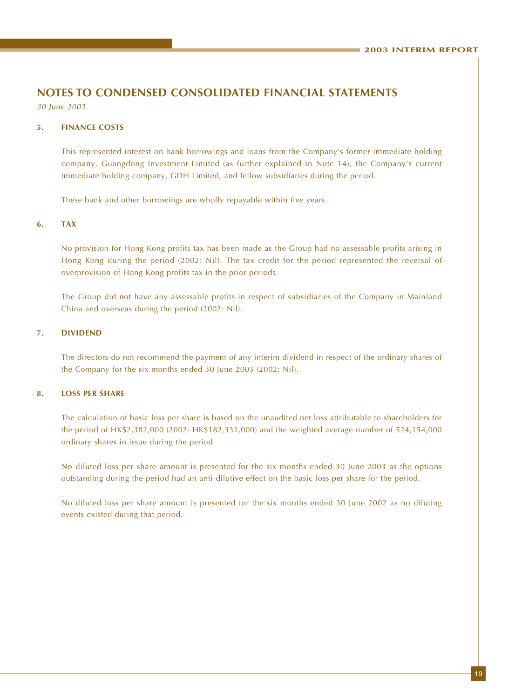30 June 2003

#### **5. FINANCE COSTS**

This represented interest on bank borrowings and loans from the Company's former immediate holding company, Guangdong Investment Limited (as further explained in Note 14), the Company's current immediate holding company, GDH Limited, and fellow subsidiaries during the period.

These bank and other borrowings are wholly repayable within five years.

#### **6. TAX**

No provision for Hong Kong profits tax has been made as the Group had no assessable profits arising in Hong Kong during the period (2002: Nil). The tax credit for the period represented the reversal of overprovision of Hong Kong profits tax in the prior periods.

The Group did not have any assessable profits in respect of subsidiaries of the Company in Mainland China and overseas during the period (2002: Nil).

#### **7. DIVIDEND**

The directors do not recommend the payment of any interim dividend in respect of the ordinary shares of the Company for the six months ended 30 June 2003 (2002: Nil).

#### **8. LOSS PER SHARE**

The calculation of basic loss per share is based on the unaudited net loss attributable to shareholders for the period of HK\$2,382,000 (2002: HK\$182,331,000) and the weighted average number of 524,154,000 ordinary shares in issue during the period.

No diluted loss per share amount is presented for the six months ended 30 June 2003 as the options outstanding during the period had an anti-dilutive effect on the basic loss per share for the period.

No diluted loss per share amount is presented for the six months ended 30 June 2002 as no diluting events existed during that period.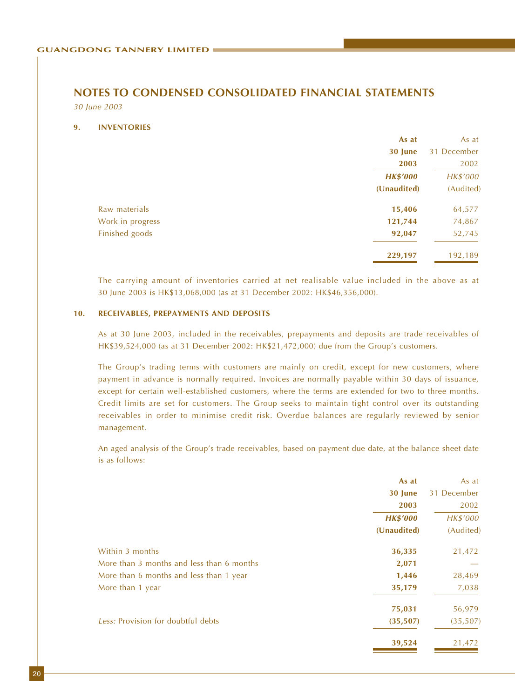#### 30 June 2003

#### **9. INVENTORIES**

|                  | As at           | As at       |
|------------------|-----------------|-------------|
|                  | 30 June         | 31 December |
|                  | 2003            | 2002        |
|                  | <b>HK\$'000</b> | HK\$'000    |
|                  | (Unaudited)     | (Audited)   |
| Raw materials    | 15,406          | 64,577      |
| Work in progress | 121,744         | 74,867      |
| Finished goods   | 92,047          | 52,745      |
|                  | 229,197         | 192,189     |
|                  |                 |             |

The carrying amount of inventories carried at net realisable value included in the above as at 30 June 2003 is HK\$13,068,000 (as at 31 December 2002: HK\$46,356,000).

#### **10. RECEIVABLES, PREPAYMENTS AND DEPOSITS**

As at 30 June 2003, included in the receivables, prepayments and deposits are trade receivables of HK\$39,524,000 (as at 31 December 2002: HK\$21,472,000) due from the Group's customers.

The Group's trading terms with customers are mainly on credit, except for new customers, where payment in advance is normally required. Invoices are normally payable within 30 days of issuance, except for certain well-established customers, where the terms are extended for two to three months. Credit limits are set for customers. The Group seeks to maintain tight control over its outstanding receivables in order to minimise credit risk. Overdue balances are regularly reviewed by senior management.

An aged analysis of the Group's trade receivables, based on payment due date, at the balance sheet date is as follows:

|                                           | As at           | As at       |
|-------------------------------------------|-----------------|-------------|
|                                           | 30 June         | 31 December |
|                                           | 2003            | 2002        |
|                                           | <b>HK\$'000</b> | HK\$'000    |
|                                           | (Unaudited)     | (Audited)   |
| Within 3 months                           | 36,335          | 21,472      |
| More than 3 months and less than 6 months | 2,071           |             |
| More than 6 months and less than 1 year   | 1,446           | 28,469      |
| More than 1 year                          | 35,179          | 7,038       |
|                                           | 75,031          | 56,979      |
| Less: Provision for doubtful debts        | (35, 507)       | (35, 507)   |
|                                           | 39,524          | 21,472      |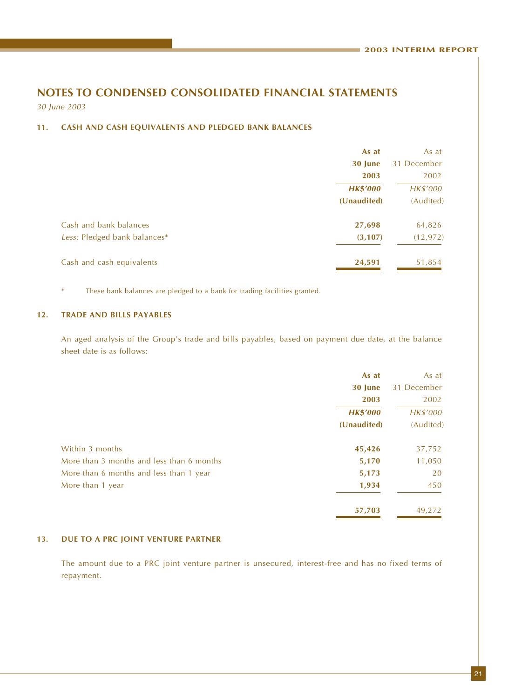30 June 2003

#### **11. CASH AND CASH EQUIVALENTS AND PLEDGED BANK BALANCES**

|                              | As at           | As at       |
|------------------------------|-----------------|-------------|
|                              | 30 June         | 31 December |
|                              | 2003            | 2002        |
|                              | <b>HK\$'000</b> | HK\$'000    |
|                              | (Unaudited)     | (Audited)   |
| Cash and bank balances       | 27,698          | 64,826      |
| Less: Pledged bank balances* | (3, 107)        | (12, 972)   |
| Cash and cash equivalents    | 24,591          | 51,854      |

These bank balances are pledged to a bank for trading facilities granted.

#### **12. TRADE AND BILLS PAYABLES**

An aged analysis of the Group's trade and bills payables, based on payment due date, at the balance sheet date is as follows:

|                                           | As at           | As at       |
|-------------------------------------------|-----------------|-------------|
|                                           | 30 June         | 31 December |
|                                           | 2003            | 2002        |
|                                           | <b>HK\$'000</b> | HK\$'000    |
|                                           | (Unaudited)     | (Audited)   |
| Within 3 months                           | 45,426          | 37,752      |
| More than 3 months and less than 6 months | 5,170           | 11,050      |
| More than 6 months and less than 1 year   | 5,173           | 20          |
| More than 1 year                          | 1,934           | 450         |
|                                           | 57,703          | 49,272      |

#### **13. DUE TO A PRC JOINT VENTURE PARTNER**

The amount due to a PRC joint venture partner is unsecured, interest-free and has no fixed terms of repayment.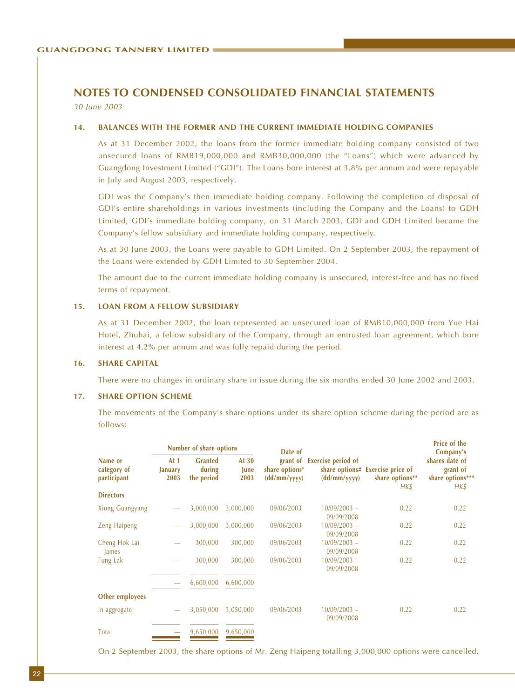30 June 2003

#### **14. BALANCES WITH THE FORMER AND THE CURRENT IMMEDIATE HOLDING COMPANIES**

As at 31 December 2002, the loans from the former immediate holding company consisted of two unsecured loans of RMB19,000,000 and RMB30,000,000 (the "Loans") which were advanced by Guangdong Investment Limited ("GDI"). The Loans bore interest at 3.8% per annum and were repayable in July and August 2003, respectively.

GDI was the Company's then immediate holding company. Following the completion of disposal of GDI's entire shareholdings in various investments (including the Company and the Loans) to GDH Limited, GDI's immediate holding company, on 31 March 2003, GDI and GDH Limited became the Company's fellow subsidiary and immediate holding company, respectively.

As at 30 June 2003, the Loans were payable to GDH Limited. On 2 September 2003, the repayment of the Loans were extended by GDH Limited to 30 September 2004.

The amount due to the current immediate holding company is unsecured, interest-free and has no fixed terms of repayment.

#### **15. LOAN FROM A FELLOW SUBSIDIARY**

As at 31 December 2002, the loan represented an unsecured loan of RMB10,000,000 from Yue Hai Hotel, Zhuhai, a fellow subsidiary of the Company, through an entrusted loan agreement, which bore interest at 4.2% per annum and was fully repaid during the period.

#### **16. SHARE CAPITAL**

There were no changes in ordinary share in issue during the six months ended 30 June 2002 and 2003.

#### **17. SHARE OPTION SCHEME**

The movements of the Company's share options under its share option scheme during the period are as follows:

|                                       |                           | <b>Number of share options</b>         |                         | Date of                        |                                             |                                                             | <b>Price of the</b><br>Company's                       |
|---------------------------------------|---------------------------|----------------------------------------|-------------------------|--------------------------------|---------------------------------------------|-------------------------------------------------------------|--------------------------------------------------------|
| Name or<br>category of<br>participant | At $1$<br>January<br>2003 | <b>Granted</b><br>during<br>the period | At $30$<br>June<br>2003 | share options*<br>(dd/mm/yyyy) | grant of Exercise period of<br>(dd/mm/yyyy) | share options# Exercise price of<br>share options**<br>HK\$ | shares date of<br>grant of<br>share options***<br>HK\$ |
| <b>Directors</b>                      |                           |                                        |                         |                                |                                             |                                                             |                                                        |
| <b>Xiong Guangyang</b>                |                           | 3,000,000                              | 3,000,000               | 09/06/2003                     | $10/09/2003 -$<br>09/09/2008                | 0.22                                                        | 0.22                                                   |
| <b>Zeng Haipeng</b>                   |                           | 3,000,000                              | 3,000,000               | 09/06/2003                     | $10/09/2003 -$<br>09/09/2008                | 0.22                                                        | 0.22                                                   |
| Cheng Hok Lai<br>James                |                           | 300,000                                | 300,000                 | 09/06/2003                     | $10/09/2003 -$<br>09/09/2008                | 0.22                                                        | 0.22                                                   |
| Fung Lak                              |                           | 300,000                                | 300,000                 | 09/06/2003                     | $10/09/2003 -$<br>09/09/2008                | 0.22                                                        | 0.22                                                   |
|                                       |                           | 6,600,000                              | 6,600,000               |                                |                                             |                                                             |                                                        |
| Other employees                       |                           |                                        |                         |                                |                                             |                                                             |                                                        |
| In aggregate                          |                           | 3,050,000                              | 3,050,000               | 09/06/2003                     | $10/09/2003 -$<br>09/09/2008                | 0.22                                                        | 0.22                                                   |
| <b>Total</b>                          |                           | 9,650,000                              | 9,650,000               |                                |                                             |                                                             |                                                        |

On 2 September 2003, the share options of Mr. Zeng Haipeng totalling 3,000,000 options were cancelled.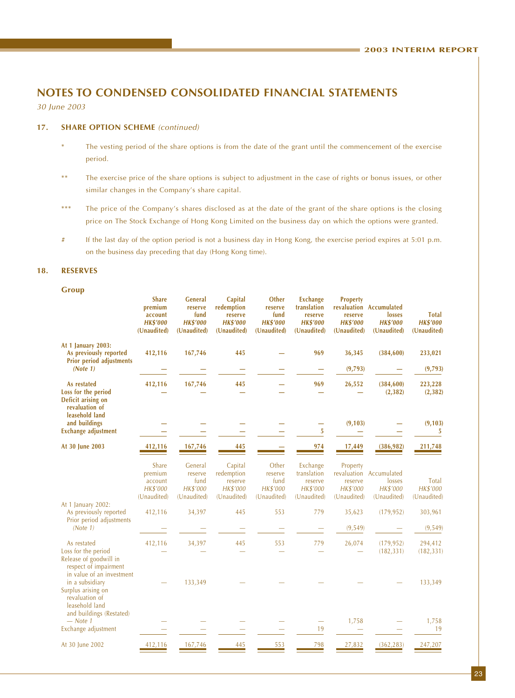30 June 2003

#### 17. **SHARE OPTION SCHEME** (continued)

- \* The vesting period of the share options is from the date of the grant until the commencement of the exercise period.
- \*\* The exercise price of the share options is subject to adjustment in the case of rights or bonus issues, or other similar changes in the Company's share capital.
- \*\*\* The price of the Company's shares disclosed as at the date of the grant of the share options is the closing price on The Stock Exchange of Hong Kong Limited on the business day on which the options were granted.
- # If the last day of the option period is not a business day in Hong Kong, the exercise period expires at 5:01 p.m. on the business day preceding that day (Hong Kong time).

#### **18. RESERVES**

**Group**

|                                                                                                                                    | <b>Share</b><br>premium<br>account<br><b>HK\$'000</b><br>(Unaudited) | <b>General</b><br>reserve<br>fund<br><b>HK\$'000</b><br>(Unaudited) | Capital<br>redemption<br>reserve<br><b>HK\$'000</b><br>(Unaudited) | Other<br>reserve<br>fund<br><b>HK\$'000</b><br>(Unaudited) | <b>Exchange</b><br>translation<br>reserve<br><b>HK\$'000</b><br>(Unaudited) | Property<br>reserve<br><b>HK\$'000</b><br>(Unaudited)         | revaluation Accumulated<br>losses<br><b>HK\$'000</b><br>(Unaudited) | <b>Total</b><br><b>HK\$'000</b><br>(Unaudited) |
|------------------------------------------------------------------------------------------------------------------------------------|----------------------------------------------------------------------|---------------------------------------------------------------------|--------------------------------------------------------------------|------------------------------------------------------------|-----------------------------------------------------------------------------|---------------------------------------------------------------|---------------------------------------------------------------------|------------------------------------------------|
| At 1 January 2003:<br>As previously reported<br><b>Prior period adjustments</b>                                                    | 412,116                                                              | 167,746                                                             | 445                                                                |                                                            | 969                                                                         | 36,345                                                        | (384, 600)                                                          | 233,021                                        |
| (Note 1)                                                                                                                           |                                                                      |                                                                     |                                                                    |                                                            |                                                                             | (9,793)                                                       |                                                                     | (9,793)                                        |
| As restated<br>Loss for the period<br>Deficit arising on<br>revaluation of<br>leasehold land                                       | 412,116                                                              | 167,746                                                             | 445                                                                |                                                            | 969                                                                         | 26,552                                                        | (384, 600)<br>(2, 382)                                              | 223,228<br>(2, 382)                            |
| and buildings<br><b>Exchange adjustment</b>                                                                                        |                                                                      |                                                                     |                                                                    |                                                            | 5                                                                           | (9, 103)                                                      |                                                                     | (9, 103)<br>5                                  |
| At 30 June 2003                                                                                                                    | 412,116                                                              | 167,746                                                             | 445                                                                |                                                            | $\frac{974}{5}$                                                             | 17,449                                                        | (386, 982)                                                          | 211,748                                        |
|                                                                                                                                    | Share<br>premium<br>account<br>HK\$'000<br>(Unaudited)               | General<br>reserve<br>fund<br>HK\$'000<br>(Unaudited)               | Capital<br>redemption<br>reserve<br>HK\$'000<br>(Unaudited)        | Other<br>reserve<br>fund<br>HK\$'000<br>(Unaudited)        | Exchange<br>translation<br>reserve<br>HK\$'000<br>(Unaudited)               | Property<br>revaluation<br>reserve<br>HK\$'000<br>(Unaudited) | Accumulated<br>losses<br>HK\$'000<br>(Unaudited)                    | Total<br>HK\$'000<br>(Unaudited)               |
| At 1 January 2002:<br>As previously reported<br>Prior period adjustments<br>(Note 1)                                               | 412,116                                                              | 34,397                                                              | 445                                                                | 553                                                        | 779                                                                         | 35,623<br>(9, 549)                                            | (179, 952)                                                          | 303,961<br>(9, 549)                            |
|                                                                                                                                    |                                                                      |                                                                     |                                                                    |                                                            |                                                                             |                                                               |                                                                     |                                                |
| As restated<br>Loss for the period<br>Release of goodwill in<br>respect of impairment                                              | 412,116                                                              | 34,397                                                              | 445                                                                | 553                                                        | 779                                                                         | 26,074                                                        | (179, 952)<br>(182, 331)                                            | 294,412<br>(182, 331)                          |
| in value of an investment<br>in a subsidiary<br>Surplus arising on<br>revaluation of<br>leasehold land<br>and buildings (Restated) |                                                                      | 133,349                                                             |                                                                    |                                                            |                                                                             |                                                               |                                                                     | 133,349                                        |
| $-$ Note 1<br>Exchange adjustment                                                                                                  |                                                                      |                                                                     |                                                                    |                                                            | $\overline{\phantom{0}}$<br>19                                              | 1,758                                                         |                                                                     | 1,758<br>19                                    |
| At 30 June 2002                                                                                                                    | 412,116                                                              | 167,746                                                             | 445                                                                | 553                                                        | 798                                                                         | 27,832                                                        | (362, 283)                                                          | 247,207                                        |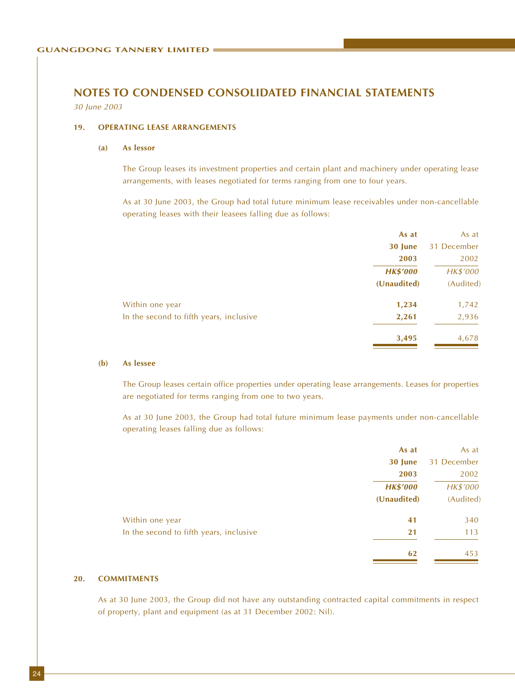30 June 2003

#### **19. OPERATING LEASE ARRANGEMENTS**

#### **(a) As lessor**

The Group leases its investment properties and certain plant and machinery under operating lease arrangements, with leases negotiated for terms ranging from one to four years.

As at 30 June 2003, the Group had total future minimum lease receivables under non-cancellable operating leases with their leasees falling due as follows:

|                                         | As at           | As at       |
|-----------------------------------------|-----------------|-------------|
|                                         | 30 June         | 31 December |
|                                         | 2003            | 2002        |
|                                         | <b>HK\$'000</b> | HK\$'000    |
|                                         | (Unaudited)     | (Audited)   |
| Within one year                         | 1,234           | 1,742       |
| In the second to fifth years, inclusive | 2,261           | 2,936       |
|                                         | 3,495           | 4,678       |
|                                         |                 |             |

#### **(b) As lessee**

The Group leases certain office properties under operating lease arrangements. Leases for properties are negotiated for terms ranging from one to two years.

As at 30 June 2003, the Group had total future minimum lease payments under non-cancellable operating leases falling due as follows:

|                                         | As at           | As at       |
|-----------------------------------------|-----------------|-------------|
|                                         | 30 June         | 31 December |
|                                         | 2003            | 2002        |
|                                         | <b>HK\$'000</b> | HK\$'000    |
|                                         | (Unaudited)     | (Audited)   |
| Within one year                         | 41              | 340         |
| In the second to fifth years, inclusive | 21              | 113         |
|                                         | 62              | 453         |

#### **20. COMMITMENTS**

As at 30 June 2003, the Group did not have any outstanding contracted capital commitments in respect of property, plant and equipment (as at 31 December 2002: Nil).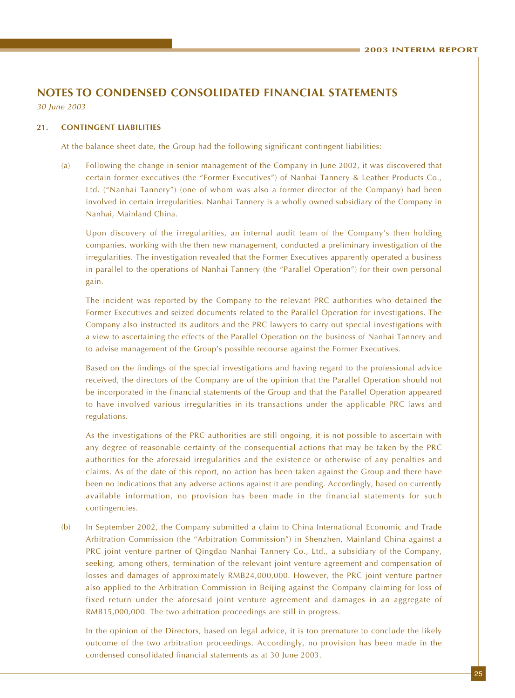30 June 2003

#### **21. CONTINGENT LIABILITIES**

At the balance sheet date, the Group had the following significant contingent liabilities:

(a) Following the change in senior management of the Company in June 2002, it was discovered that certain former executives (the "Former Executives") of Nanhai Tannery & Leather Products Co., Ltd. ("Nanhai Tannery") (one of whom was also a former director of the Company) had been involved in certain irregularities. Nanhai Tannery is a wholly owned subsidiary of the Company in Nanhai, Mainland China.

Upon discovery of the irregularities, an internal audit team of the Company's then holding companies, working with the then new management, conducted a preliminary investigation of the irregularities. The investigation revealed that the Former Executives apparently operated a business in parallel to the operations of Nanhai Tannery (the "Parallel Operation") for their own personal gain.

The incident was reported by the Company to the relevant PRC authorities who detained the Former Executives and seized documents related to the Parallel Operation for investigations. The Company also instructed its auditors and the PRC lawyers to carry out special investigations with a view to ascertaining the effects of the Parallel Operation on the business of Nanhai Tannery and to advise management of the Group's possible recourse against the Former Executives.

Based on the findings of the special investigations and having regard to the professional advice received, the directors of the Company are of the opinion that the Parallel Operation should not be incorporated in the financial statements of the Group and that the Parallel Operation appeared to have involved various irregularities in its transactions under the applicable PRC laws and regulations.

As the investigations of the PRC authorities are still ongoing, it is not possible to ascertain with any degree of reasonable certainty of the consequential actions that may be taken by the PRC authorities for the aforesaid irregularities and the existence or otherwise of any penalties and claims. As of the date of this report, no action has been taken against the Group and there have been no indications that any adverse actions against it are pending. Accordingly, based on currently available information, no provision has been made in the financial statements for such contingencies.

(b) In September 2002, the Company submitted a claim to China International Economic and Trade Arbitration Commission (the "Arbitration Commission") in Shenzhen, Mainland China against a PRC joint venture partner of Qingdao Nanhai Tannery Co., Ltd., a subsidiary of the Company, seeking, among others, termination of the relevant joint venture agreement and compensation of losses and damages of approximately RMB24,000,000. However, the PRC joint venture partner also applied to the Arbitration Commission in Beijing against the Company claiming for loss of fixed return under the aforesaid joint venture agreement and damages in an aggregate of RMB15,000,000. The two arbitration proceedings are still in progress.

In the opinion of the Directors, based on legal advice, it is too premature to conclude the likely outcome of the two arbitration proceedings. Accordingly, no provision has been made in the condensed consolidated financial statements as at 30 June 2003.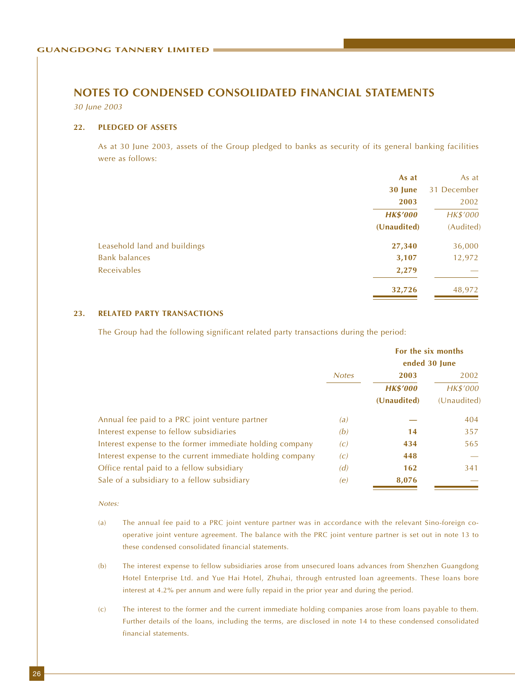30 June 2003

#### **22. PLEDGED OF ASSETS**

As at 30 June 2003, assets of the Group pledged to banks as security of its general banking facilities were as follows:

|                              | As at           | As at       |
|------------------------------|-----------------|-------------|
|                              | 30 June         | 31 December |
|                              | 2003            | 2002        |
|                              | <b>HK\$'000</b> | HK\$'000    |
|                              | (Unaudited)     | (Audited)   |
| Leasehold land and buildings | 27,340          | 36,000      |
| <b>Bank balances</b>         | 3,107           | 12,972      |
| Receivables                  | 2,279           |             |
|                              | 32,726          | 48,972      |

#### **23. RELATED PARTY TRANSACTIONS**

The Group had the following significant related party transactions during the period:

|                                                           |              |                                        | For the six months<br>ended 30 June |
|-----------------------------------------------------------|--------------|----------------------------------------|-------------------------------------|
|                                                           | <b>Notes</b> | 2003<br><b>HK\$'000</b><br>(Unaudited) | 2002<br>HK\$'000<br>(Unaudited)     |
| Annual fee paid to a PRC joint venture partner            | (a)          |                                        | 404                                 |
| Interest expense to fellow subsidiaries                   | (b)          | 14                                     | 357                                 |
| Interest expense to the former immediate holding company  | (c)          | 434                                    | 565                                 |
| Interest expense to the current immediate holding company | (c)          | 448                                    |                                     |
| Office rental paid to a fellow subsidiary                 | (d)          | 162                                    | 341                                 |
| Sale of a subsidiary to a fellow subsidiary               | (e)          | 8,076                                  |                                     |

#### Notes:

- (a) The annual fee paid to a PRC joint venture partner was in accordance with the relevant Sino-foreign cooperative joint venture agreement. The balance with the PRC joint venture partner is set out in note 13 to these condensed consolidated financial statements.
- (b) The interest expense to fellow subsidiaries arose from unsecured loans advances from Shenzhen Guangdong Hotel Enterprise Ltd. and Yue Hai Hotel, Zhuhai, through entrusted loan agreements. These loans bore interest at 4.2% per annum and were fully repaid in the prior year and during the period.
- (c) The interest to the former and the current immediate holding companies arose from loans payable to them. Further details of the loans, including the terms, are disclosed in note 14 to these condensed consolidated financial statements.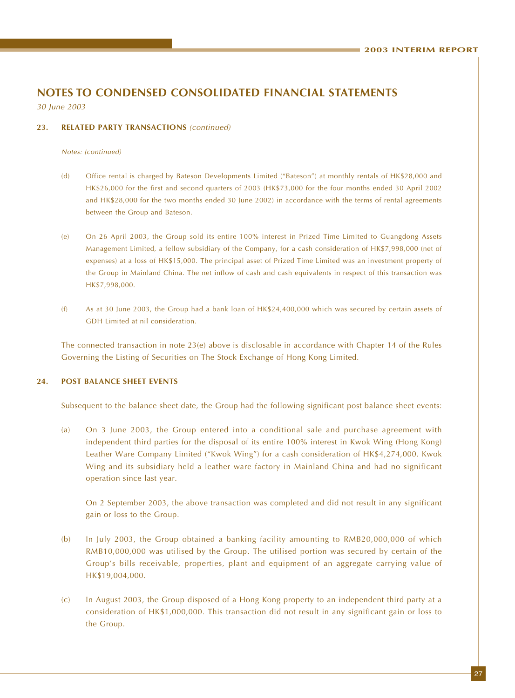30 June 2003

#### **23. RELATED PARTY TRANSACTIONS** (continued)

Notes: (continued)

- (d) Office rental is charged by Bateson Developments Limited ("Bateson") at monthly rentals of HK\$28,000 and HK\$26,000 for the first and second quarters of 2003 (HK\$73,000 for the four months ended 30 April 2002 and HK\$28,000 for the two months ended 30 June 2002) in accordance with the terms of rental agreements between the Group and Bateson.
- (e) On 26 April 2003, the Group sold its entire 100% interest in Prized Time Limited to Guangdong Assets Management Limited, a fellow subsidiary of the Company, for a cash consideration of HK\$7,998,000 (net of expenses) at a loss of HK\$15,000. The principal asset of Prized Time Limited was an investment property of the Group in Mainland China. The net inflow of cash and cash equivalents in respect of this transaction was HK\$7,998,000.
- (f) As at 30 June 2003, the Group had a bank loan of HK\$24,400,000 which was secured by certain assets of GDH Limited at nil consideration.

The connected transaction in note  $23(e)$  above is disclosable in accordance with Chapter 14 of the Rules Governing the Listing of Securities on The Stock Exchange of Hong Kong Limited.

#### **24. POST BALANCE SHEET EVENTS**

Subsequent to the balance sheet date, the Group had the following significant post balance sheet events:

(a) On 3 June 2003, the Group entered into a conditional sale and purchase agreement with independent third parties for the disposal of its entire 100% interest in Kwok Wing (Hong Kong) Leather Ware Company Limited ("Kwok Wing") for a cash consideration of HK\$4,274,000. Kwok Wing and its subsidiary held a leather ware factory in Mainland China and had no significant operation since last year.

On 2 September 2003, the above transaction was completed and did not result in any significant gain or loss to the Group.

- (b) In July 2003, the Group obtained a banking facility amounting to RMB20,000,000 of which RMB10,000,000 was utilised by the Group. The utilised portion was secured by certain of the Group's bills receivable, properties, plant and equipment of an aggregate carrying value of HK\$19,004,000.
- (c) In August 2003, the Group disposed of a Hong Kong property to an independent third party at a consideration of HK\$1,000,000. This transaction did not result in any significant gain or loss to the Group.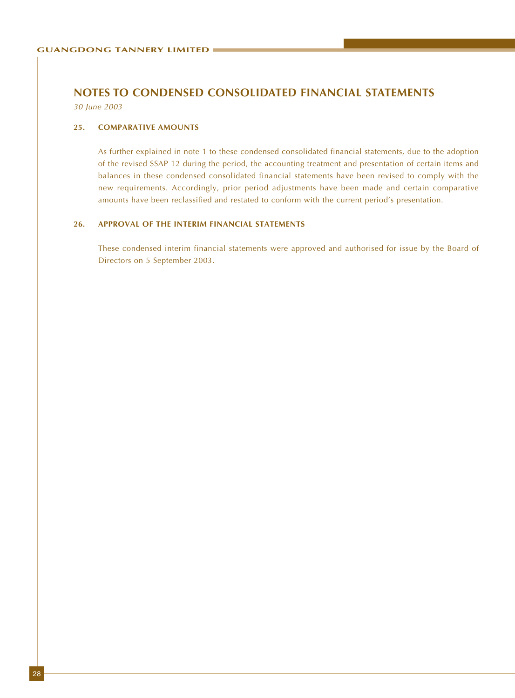30 June 2003

#### **25. COMPARATIVE AMOUNTS**

As further explained in note 1 to these condensed consolidated financial statements, due to the adoption of the revised SSAP 12 during the period, the accounting treatment and presentation of certain items and balances in these condensed consolidated financial statements have been revised to comply with the new requirements. Accordingly, prior period adjustments have been made and certain comparative amounts have been reclassified and restated to conform with the current period's presentation.

#### **26. APPROVAL OF THE INTERIM FINANCIAL STATEMENTS**

These condensed interim financial statements were approved and authorised for issue by the Board of Directors on 5 September 2003.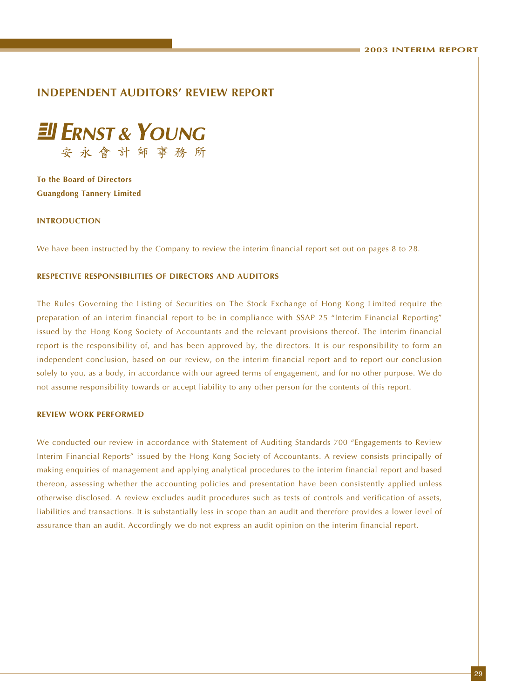### **INDEPENDENT AUDITORS' REVIEW REPORT**



**To the Board of Directors Guangdong Tannery Limited**

#### **INTRODUCTION**

We have been instructed by the Company to review the interim financial report set out on pages 8 to 28.

#### **RESPECTIVE RESPONSIBILITIES OF DIRECTORS AND AUDITORS**

The Rules Governing the Listing of Securities on The Stock Exchange of Hong Kong Limited require the preparation of an interim financial report to be in compliance with SSAP 25 "Interim Financial Reporting" issued by the Hong Kong Society of Accountants and the relevant provisions thereof. The interim financial report is the responsibility of, and has been approved by, the directors. It is our responsibility to form an independent conclusion, based on our review, on the interim financial report and to report our conclusion solely to you, as a body, in accordance with our agreed terms of engagement, and for no other purpose. We do not assume responsibility towards or accept liability to any other person for the contents of this report.

#### **REVIEW WORK PERFORMED**

We conducted our review in accordance with Statement of Auditing Standards 700 "Engagements to Review Interim Financial Reports" issued by the Hong Kong Society of Accountants. A review consists principally of making enquiries of management and applying analytical procedures to the interim financial report and based thereon, assessing whether the accounting policies and presentation have been consistently applied unless otherwise disclosed. A review excludes audit procedures such as tests of controls and verification of assets, liabilities and transactions. It is substantially less in scope than an audit and therefore provides a lower level of assurance than an audit. Accordingly we do not express an audit opinion on the interim financial report.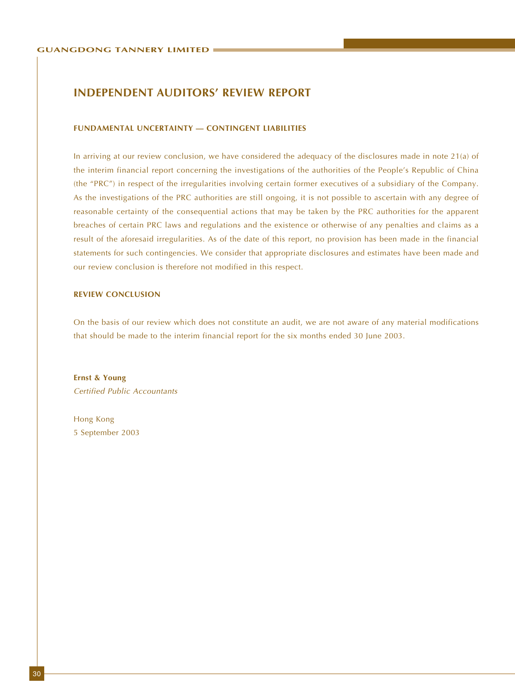### **INDEPENDENT AUDITORS' REVIEW REPORT**

#### **FUNDAMENTAL UNCERTAINTY — CONTINGENT LIABILITIES**

In arriving at our review conclusion, we have considered the adequacy of the disclosures made in note 21(a) of the interim financial report concerning the investigations of the authorities of the People's Republic of China (the "PRC") in respect of the irregularities involving certain former executives of a subsidiary of the Company. As the investigations of the PRC authorities are still ongoing, it is not possible to ascertain with any degree of reasonable certainty of the consequential actions that may be taken by the PRC authorities for the apparent breaches of certain PRC laws and regulations and the existence or otherwise of any penalties and claims as a result of the aforesaid irregularities. As of the date of this report, no provision has been made in the financial statements for such contingencies. We consider that appropriate disclosures and estimates have been made and our review conclusion is therefore not modified in this respect.

#### **REVIEW CONCLUSION**

On the basis of our review which does not constitute an audit, we are not aware of any material modifications that should be made to the interim financial report for the six months ended 30 June 2003.

**Ernst & Young** Certified Public Accountants

Hong Kong 5 September 2003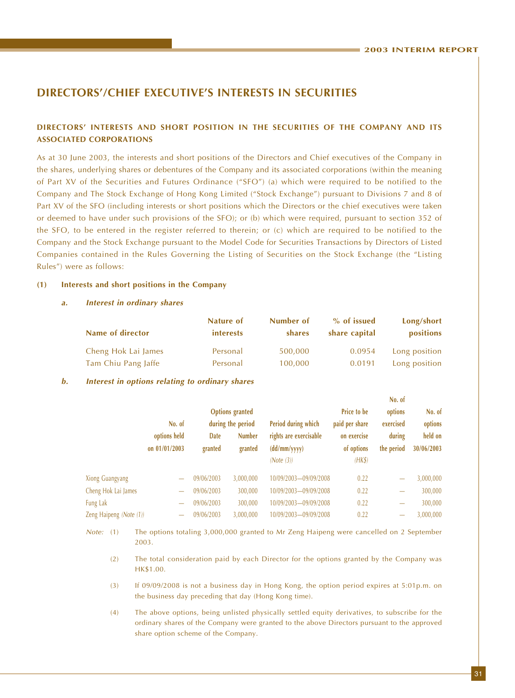### **DIRECTORS'/CHIEF EXECUTIVE'S INTERESTS IN SECURITIES**

#### **DIRECTORS' INTERESTS AND SHORT POSITION IN THE SECURITIES OF THE COMPANY AND ITS ASSOCIATED CORPORATIONS**

As at 30 June 2003, the interests and short positions of the Directors and Chief executives of the Company in the shares, underlying shares or debentures of the Company and its associated corporations (within the meaning of Part XV of the Securities and Futures Ordinance ("SFO") (a) which were required to be notified to the Company and The Stock Exchange of Hong Kong Limited ("Stock Exchange") pursuant to Divisions 7 and 8 of Part XV of the SFO (including interests or short positions which the Directors or the chief executives were taken or deemed to have under such provisions of the SFO); or (b) which were required, pursuant to section 352 of the SFO, to be entered in the register referred to therein; or (c) which are required to be notified to the Company and the Stock Exchange pursuant to the Model Code for Securities Transactions by Directors of Listed Companies contained in the Rules Governing the Listing of Securities on the Stock Exchange (the "Listing Rules") were as follows:

#### **(1) Interests and short positions in the Company**

#### **a. Interest in ordinary shares**

|                     | Nature of        | Number of | % of issued   | Long/short    |
|---------------------|------------------|-----------|---------------|---------------|
| Name of director    | <i>interests</i> | shares    | share capital | positions     |
| Cheng Hok Lai James | Personal         | 500,000   | 0.0954        | Long position |
| Tam Chiu Pang Jaffe | Personal         | 100,000   | 0.0191        | Long position |

#### **b. Interest in options relating to ordinary shares**

|                         |                          |            |                        |                        |                    | <b>NO. 01</b>            |            |
|-------------------------|--------------------------|------------|------------------------|------------------------|--------------------|--------------------------|------------|
|                         |                          |            | <b>Options</b> granted |                        | <b>Price to be</b> | options                  | No. of     |
|                         | No. of                   |            | during the period      | Period during which    | paid per share     | exercised                | options    |
|                         | options held             | Date       | <b>Number</b>          | rights are exercisable | on exercise        | during                   | held on    |
|                         | on $01/01/2003$          | granted    | granted                | (dd/mm/yyyy)           | of options         | the period               | 30/06/2003 |
|                         |                          |            |                        | (Note (3))             | $(HK\$             |                          |            |
| <b>Xiong Guangyang</b>  |                          | 09/06/2003 | 3,000,000              | 10/09/2003-09/09/2008  | 0.22               | $\overline{\phantom{0}}$ | 3,000,000  |
| Cheng Hok Lai James     | $\overline{\phantom{m}}$ | 09/06/2003 | 300,000                | 10/09/2003-09/09/2008  | 0.22               | $\qquad \qquad$          | 300,000    |
| Fung Lak                | $\overline{\phantom{0}}$ | 09/06/2003 | 300,000                | 10/09/2003-09/09/2008  | 0.22               | $\overline{\phantom{0}}$ | 300,000    |
| Zeng Haipeng (Note (1)) |                          | 09/06/2003 | 3,000,000              | 10/09/2003-09/09/2008  | 0.22               |                          | 3,000,000  |
|                         |                          |            |                        |                        |                    |                          |            |

Note: (1) The options totaling 3,000,000 granted to Mr Zeng Haipeng were cancelled on 2 September 2003.

(2) The total consideration paid by each Director for the options granted by the Company was HK\$1.00.

- (3) If 09/09/2008 is not a business day in Hong Kong, the option period expires at 5:01p.m. on the business day preceding that day (Hong Kong time).
- (4) The above options, being unlisted physically settled equity derivatives, to subscribe for the ordinary shares of the Company were granted to the above Directors pursuant to the approved share option scheme of the Company.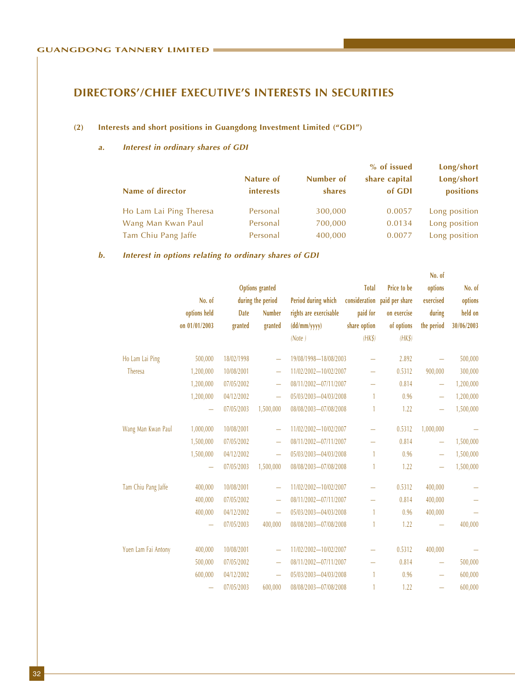# **DIRECTORS'/CHIEF EXECUTIVE'S INTERESTS IN SECURITIES**

#### **(2) Interests and short positions in Guangdong Investment Limited ("GDI")**

#### **a. Interest in ordinary shares of GDI**

|                         |                               |                     | % of issued             | Long/short              |
|-------------------------|-------------------------------|---------------------|-------------------------|-------------------------|
| Name of director        | Nature of<br><i>interests</i> | Number of<br>shares | share capital<br>of GDI | Long/short<br>positions |
| Ho Lam Lai Ping Theresa | Personal                      | 300,000             | 0.0057                  | Long position           |
| Wang Man Kwan Paul      | Personal                      | 700,000             | 0.0134                  | Long position           |
| Tam Chiu Pang Jaffe     | Personal                      | 400,000             | 0.0077                  | Long position           |

#### **b. Interest in options relating to ordinary shares of GDI**

|                     |               |             |                          |                        |              |                              | No. of                   |            |
|---------------------|---------------|-------------|--------------------------|------------------------|--------------|------------------------------|--------------------------|------------|
|                     |               |             | <b>Options</b> granted   |                        | <b>Total</b> | Price to be                  | options                  | No. of     |
|                     | No. of        |             | during the period        | Period during which    |              | consideration paid per share | exercised                | options    |
|                     | options held  | <b>Date</b> | <b>Number</b>            | rights are exercisable | paid for     | on exercise                  | during                   | held on    |
|                     | on 01/01/2003 | granted     | granted                  | (dd/mm/yyyy)           | share option | of options                   | the period               | 30/06/2003 |
|                     |               |             |                          | (Note)                 | $(HK\$       | $(HK\$                       |                          |            |
| Ho Lam Lai Ping     | 500,000       | 18/02/1998  |                          | 19/08/1998-18/08/2003  |              | 2.892                        |                          | 500,000    |
| Theresa             | 1,200,000     | 10/08/2001  | $\overline{\phantom{0}}$ | 11/02/2002-10/02/2007  | ÷            | 0.5312                       | 900,000                  | 300,000    |
|                     | 1,200,000     | 07/05/2002  | $\equiv$                 | 08/11/2002-07/11/2007  |              | 0.814                        | $\overline{\phantom{m}}$ | 1,200,000  |
|                     | 1,200,000     | 04/12/2002  | $\equiv$                 | 05/03/2003-04/03/2008  | 1            | 0.96                         | $\overline{\phantom{m}}$ | 1,200,000  |
|                     | —             | 07/05/2003  | 1,500,000                | 08/08/2003-07/08/2008  | 1            | 1.22                         |                          | 1,500,000  |
| Wang Man Kwan Paul  | 1,000,000     | 10/08/2001  |                          | 11/02/2002-10/02/2007  |              | 0.5312                       | 1,000,000                |            |
|                     | 1,500,000     | 07/05/2002  | ÷                        | 08/11/2002-07/11/2007  |              | 0.814                        |                          | 1,500,000  |
|                     | 1,500,000     | 04/12/2002  | $\equiv$                 | 05/03/2003-04/03/2008  | 1            | 0.96                         |                          | 1,500,000  |
|                     |               | 07/05/2003  | 1,500,000                | 08/08/2003-07/08/2008  | 1            | 1.22                         |                          | 1,500,000  |
| Tam Chiu Pang Jaffe | 400,000       | 10/08/2001  |                          | 11/02/2002-10/02/2007  |              | 0.5312                       | 400,000                  |            |
|                     | 400,000       | 07/05/2002  | $\overline{\phantom{0}}$ | 08/11/2002-07/11/2007  |              | 0.814                        | 400,000                  |            |
|                     | 400,000       | 04/12/2002  | $\overline{\phantom{0}}$ | 05/03/2003-04/03/2008  | 1            | 0.96                         | 400,000                  |            |
|                     | —             | 07/05/2003  | 400,000                  | 08/08/2003-07/08/2008  |              | 1.22                         |                          | 400,000    |
| Yuen Lam Fai Antony | 400,000       | 10/08/2001  |                          | 11/02/2002-10/02/2007  |              | 0.5312                       | 400,000                  |            |
|                     | 500,000       | 07/05/2002  | $\equiv$                 | 08/11/2002-07/11/2007  |              | 0.814                        | $\overline{\phantom{0}}$ | 500,000    |
|                     | 600,000       | 04/12/2002  | $\equiv$                 | 05/03/2003-04/03/2008  | $\mathbf{1}$ | 0.96                         | $\equiv$                 | 600,000    |
|                     |               | 07/05/2003  | 600,000                  | 08/08/2003-07/08/2008  | 1            | 1.22                         |                          | 600,000    |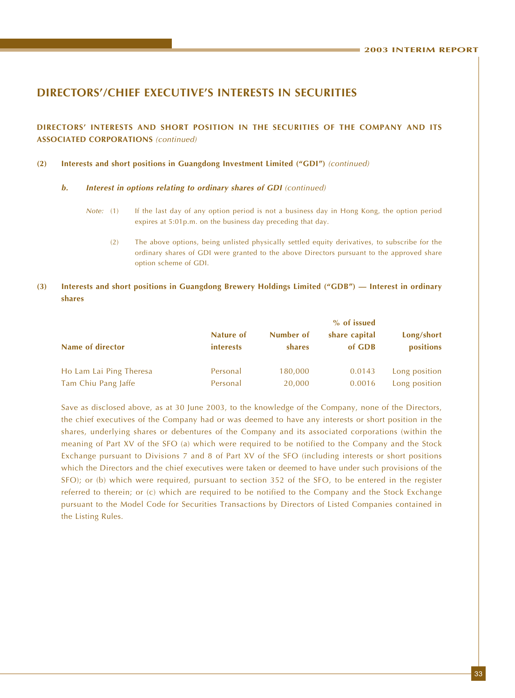### **DIRECTORS'/CHIEF EXECUTIVE'S INTERESTS IN SECURITIES**

**DIRECTORS' INTERESTS AND SHORT POSITION IN THE SECURITIES OF THE COMPANY AND ITS ASSOCIATED CORPORATIONS** (continued)

#### **(2) Interests and short positions in Guangdong Investment Limited ("GDI")** (continued)

#### **b. Interest in options relating to ordinary shares of GDI** (continued)

- Note: (1) If the last day of any option period is not a business day in Hong Kong, the option period expires at 5:01p.m. on the business day preceding that day.
	- (2) The above options, being unlisted physically settled equity derivatives, to subscribe for the ordinary shares of GDI were granted to the above Directors pursuant to the approved share option scheme of GDI.

#### **(3) Interests and short positions in Guangdong Brewery Holdings Limited ("GDB") — Interest in ordinary shares**

| Name of director        | Nature of<br><i>interests</i> | Number of<br><b>shares</b> | share capital<br>of GDB | Long/short<br>positions |
|-------------------------|-------------------------------|----------------------------|-------------------------|-------------------------|
| Ho Lam Lai Ping Theresa | Personal                      | 180,000                    | 0.0143                  | Long position           |
| Tam Chiu Pang Jaffe     | Personal                      | 20,000                     | 0.0016                  | Long position           |

Save as disclosed above, as at 30 June 2003, to the knowledge of the Company, none of the Directors, the chief executives of the Company had or was deemed to have any interests or short position in the shares, underlying shares or debentures of the Company and its associated corporations (within the meaning of Part XV of the SFO (a) which were required to be notified to the Company and the Stock Exchange pursuant to Divisions 7 and 8 of Part XV of the SFO (including interests or short positions which the Directors and the chief executives were taken or deemed to have under such provisions of the SFO); or (b) which were required, pursuant to section 352 of the SFO, to be entered in the register referred to therein; or (c) which are required to be notified to the Company and the Stock Exchange pursuant to the Model Code for Securities Transactions by Directors of Listed Companies contained in the Listing Rules.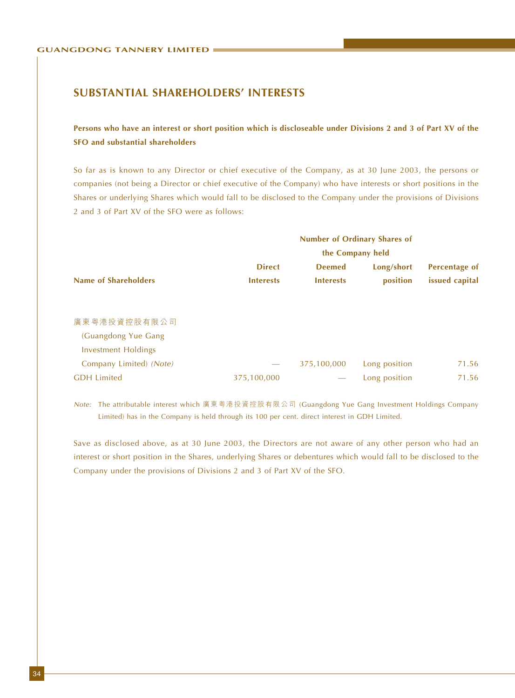### **SUBSTANTIAL SHAREHOLDERS' INTERESTS**

### **Persons who have an interest or short position which is discloseable under Divisions 2 and 3 of Part XV of the SFO and substantial shareholders**

So far as is known to any Director or chief executive of the Company, as at 30 June 2003, the persons or companies (not being a Director or chief executive of the Company) who have interests or short positions in the Shares or underlying Shares which would fall to be disclosed to the Company under the provisions of Divisions 2 and 3 of Part XV of the SFO were as follows:

|                             | <b>Number of Ordinary Shares of</b><br>the Company held |                  |               |                |  |  |  |
|-----------------------------|---------------------------------------------------------|------------------|---------------|----------------|--|--|--|
|                             |                                                         |                  |               |                |  |  |  |
|                             | <b>Direct</b>                                           | <b>Deemed</b>    | Long/short    | Percentage of  |  |  |  |
| <b>Name of Shareholders</b> | <b>Interests</b>                                        | <b>Interests</b> | position      | issued capital |  |  |  |
| 廣東粤港投資控股有限公司                |                                                         |                  |               |                |  |  |  |
| (Guangdong Yue Gang         |                                                         |                  |               |                |  |  |  |
| <b>Investment Holdings</b>  |                                                         |                  |               |                |  |  |  |
| Company Limited) (Note)     |                                                         | 375,100,000      | Long position | 71.56          |  |  |  |
| <b>GDH</b> Limited          | 375,100,000                                             |                  | Long position | 71.56          |  |  |  |

Note: The attributable interest which 廣東粵港投資控股有限公司 (Guangdong Yue Gang Investment Holdings Company Limited) has in the Company is held through its 100 per cent. direct interest in GDH Limited.

Save as disclosed above, as at 30 June 2003, the Directors are not aware of any other person who had an interest or short position in the Shares, underlying Shares or debentures which would fall to be disclosed to the Company under the provisions of Divisions 2 and 3 of Part XV of the SFO.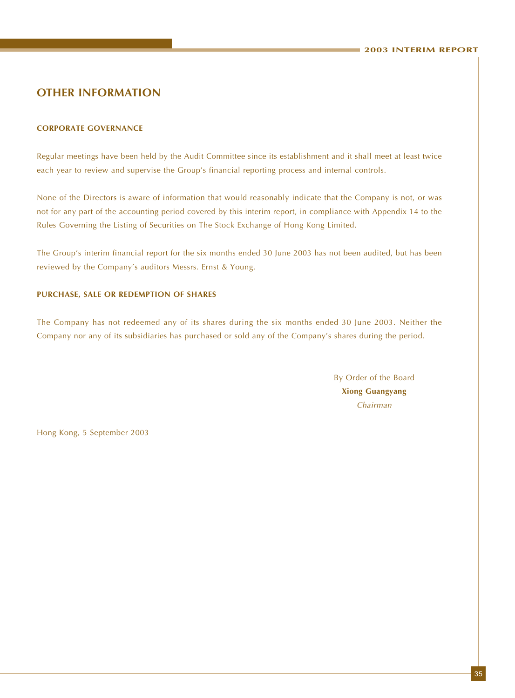### **OTHER INFORMATION**

#### **CORPORATE GOVERNANCE**

Regular meetings have been held by the Audit Committee since its establishment and it shall meet at least twice each year to review and supervise the Group's financial reporting process and internal controls.

None of the Directors is aware of information that would reasonably indicate that the Company is not, or was not for any part of the accounting period covered by this interim report, in compliance with Appendix 14 to the Rules Governing the Listing of Securities on The Stock Exchange of Hong Kong Limited.

The Group's interim financial report for the six months ended 30 June 2003 has not been audited, but has been reviewed by the Company's auditors Messrs. Ernst & Young.

#### **PURCHASE, SALE OR REDEMPTION OF SHARES**

The Company has not redeemed any of its shares during the six months ended 30 June 2003. Neither the Company nor any of its subsidiaries has purchased or sold any of the Company's shares during the period.

> By Order of the Board **Xiong Guangyang** Chairman

Hong Kong, 5 September 2003